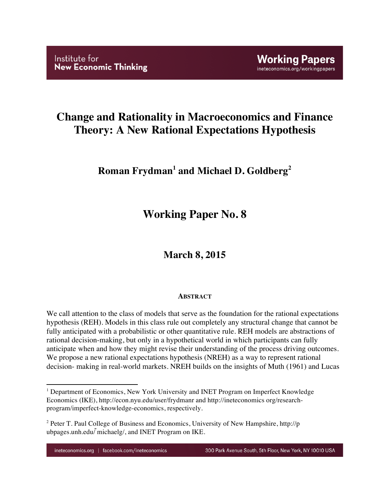# **Change and Rationality in Macroeconomics and Finance Theory: A New Rational Expectations Hypothesis**

# **Roman Frydman<sup>1</sup> and Michael D. Goldberg<sup>2</sup>**

# **Working Paper No. 8**

# **March 8, 2015**

## **ABSTRACT**

We call attention to the class of models that serve as the foundation for the rational expectations hypothesis (REH). Models in this class rule out completely any structural change that cannot be fully anticipated with a probabilistic or other quantitative rule. REH models are abstractions of rational decision-making, but only in a hypothetical world in which participants can fully anticipate when and how they might revise their understanding of the process driving outcomes. We propose a new rational expectations hypothesis (NREH) as a way to represent rational decision- making in real-world markets. NREH builds on the insights of Muth (1961) and Lucas

!!!!!!!!!!!!!!!!!!!!!!!!!!!!!!!!!!!!!!!!!!!!!!!!!!!!!!!!!!!!

<sup>&</sup>lt;sup>1</sup> Department of Economics, New York University and INET Program on Imperfect Knowledge Economics (IKE), http://econ.nyu.edu/user/frydmanr and http://ineteconomics org/researchprogram/imperfect-knowledge-economics, respectively.

<sup>&</sup>lt;sup>2</sup> Peter T. Paul College of Business and Economics, University of New Hampshire, http://p ubpages.unh.edu/ ̃michaelg/, and INET Program on IKE.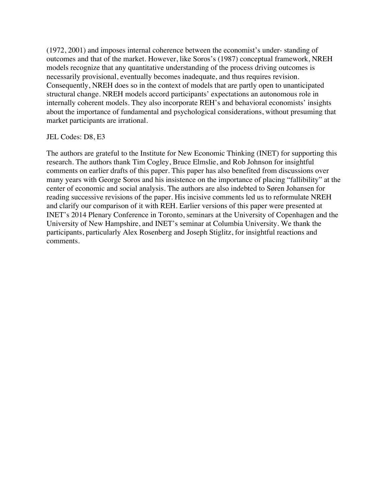(1972, 2001) and imposes internal coherence between the economist's under- standing of outcomes and that of the market. However, like Soros's (1987) conceptual framework, NREH models recognize that any quantitative understanding of the process driving outcomes is necessarily provisional, eventually becomes inadequate, and thus requires revision. Consequently, NREH does so in the context of models that are partly open to unanticipated structural change. NREH models accord participants' expectations an autonomous role in internally coherent models. They also incorporate REH's and behavioral economists' insights about the importance of fundamental and psychological considerations, without presuming that market participants are irrational.

## JEL Codes: D8, E3

The authors are grateful to the Institute for New Economic Thinking (INET) for supporting this research. The authors thank Tim Cogley, Bruce Elmslie, and Rob Johnson for insightful comments on earlier drafts of this paper. This paper has also benefited from discussions over many years with George Soros and his insistence on the importance of placing "fallibility" at the center of economic and social analysis. The authors are also indebted to Søren Johansen for reading successive revisions of the paper. His incisive comments led us to reformulate NREH and clarify our comparison of it with REH. Earlier versions of this paper were presented at INET's 2014 Plenary Conference in Toronto, seminars at the University of Copenhagen and the University of New Hampshire, and INET's seminar at Columbia University. We thank the participants, particularly Alex Rosenberg and Joseph Stiglitz, for insightful reactions and comments.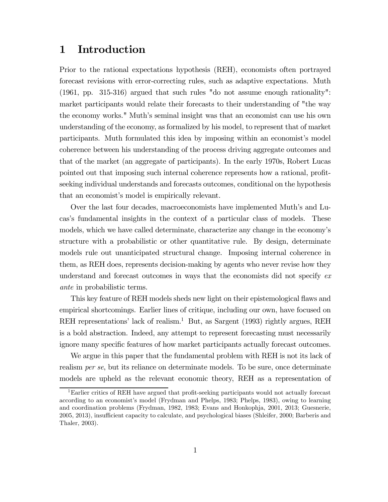## 1 Introduction

Prior to the rational expectations hypothesis (REH), economists often portrayed forecast revisions with error-correcting rules, such as adaptive expectations. Muth (1961, pp. 315-316) argued that such rules "do not assume enough rationality": market participants would relate their forecasts to their understanding of "the way the economy works." Muth's seminal insight was that an economist can use his own understanding of the economy, as formalized by his model, to represent that of market participants. Muth formulated this idea by imposing within an economist's model coherence between his understanding of the process driving aggregate outcomes and that of the market (an aggregate of participants). In the early 1970s, Robert Lucas pointed out that imposing such internal coherence represents how a rational, profitseeking individual understands and forecasts outcomes, conditional on the hypothesis that an economist's model is empirically relevant.

Over the last four decades, macroeconomists have implemented Muth's and Lucas's fundamental insights in the context of a particular class of models. These models, which we have called determinate, characterize any change in the economy's structure with a probabilistic or other quantitative rule. By design, determinate models rule out unanticipated structural change. Imposing internal coherence in them, as REH does, represents decision-making by agents who never revise how they understand and forecast outcomes in ways that the economists did not specify ex ante in probabilistic terms.

This key feature of REH models sheds new light on their epistemological flaws and empirical shortcomings. Earlier lines of critique, including our own, have focused on REH representations' lack of realism.<sup>1</sup> But, as Sargent (1993) rightly argues, REH is a bold abstraction. Indeed, any attempt to represent forecasting must necessarily ignore many specific features of how market participants actually forecast outcomes.

We argue in this paper that the fundamental problem with REH is not its lack of realism per se, but its reliance on determinate models. To be sure, once determinate models are upheld as the relevant economic theory, REH as a representation of

<sup>&</sup>lt;sup>1</sup>Earlier critics of REH have argued that profit-seeking participants would not actually forecast according to an economist's model (Frydman and Phelps, 1983; Phelps, 1983), owing to learning and coordination problems (Frydman, 1982, 1983; Evans and Honkophja, 2001, 2013; Guesnerie, 2005, 2013), insufficient capacity to calculate, and psychological biases (Shleifer, 2000; Barberis and Thaler, 2003).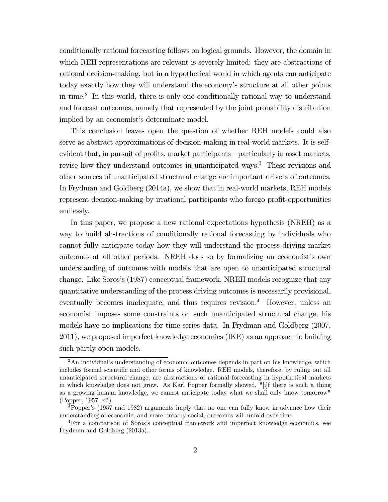conditionally rational forecasting follows on logical grounds. However, the domain in which REH representations are relevant is severely limited: they are abstractions of rational decision-making, but in a hypothetical world in which agents can anticipate today exactly how they will understand the economy's structure at all other points in time.<sup>2</sup> In this world, there is only one conditionally rational way to understand and forecast outcomes, namely that represented by the joint probability distribution implied by an economist's determinate model.

This conclusion leaves open the question of whether REH models could also serve as abstract approximations of decision-making in real-world markets. It is selfevident that, in pursuit of profits, market participants–particularly in asset markets, revise how they understand outcomes in unanticipated ways.<sup>3</sup> These revisions and other sources of unanticipated structural change are important drivers of outcomes. In Frydman and Goldberg (2014a), we show that in real-world markets, REH models represent decision-making by irrational participants who forego profit-opportunities endlessly.

In this paper, we propose a new rational expectations hypothesis (NREH) as a way to build abstractions of conditionally rational forecasting by individuals who cannot fully anticipate today how they will understand the process driving market outcomes at all other periods. NREH does so by formalizing an economist's own understanding of outcomes with models that are open to unanticipated structural change. Like Soros's (1987) conceptual framework, NREH models recognize that any quantitative understanding of the process driving outcomes is necessarily provisional, eventually becomes inadequate, and thus requires revision.<sup>4</sup> However, unless an economist imposes some constraints on such unanticipated structural change, his models have no implications for time-series data. In Frydman and Goldberg (2007, 2011), we proposed imperfect knowledge economics (IKE) as an approach to building such partly open models.

 $2<sup>2</sup>$ An individual's understanding of economic outcomes depends in part on his knowledge, which includes formal scientific and other forms of knowledge. REH models, therefore, by ruling out all unanticipated structural change, are abstractions of rational forecasting in hypothetical markets in which knowledge does not grow. As Karl Popper formally showed, "[i]f there is such a thing as a growing human knowledge, we cannot anticipate today what we shall only know tomorrow" (Popper, 1957, xii).

<sup>3</sup>Popper's (1957 and 1982) arguments imply that no one can fully know in advance how their understanding of economic, and more broadly social, outcomes will unfold over time.

<sup>4</sup>For a comparison of Soros's conceptual framework and imperfect knowledge economics, see Frydman and Goldberg (2013a).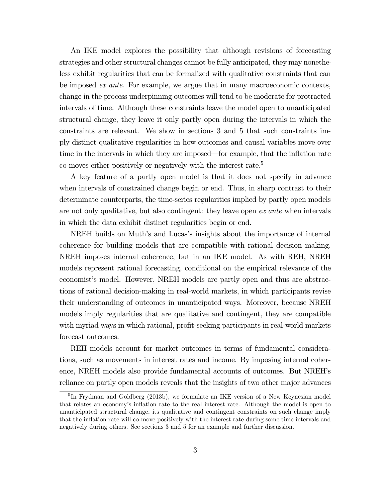An IKE model explores the possibility that although revisions of forecasting strategies and other structural changes cannot be fully anticipated, they may nonetheless exhibit regularities that can be formalized with qualitative constraints that can be imposed ex ante. For example, we argue that in many macroeconomic contexts, change in the process underpinning outcomes will tend to be moderate for protracted intervals of time. Although these constraints leave the model open to unanticipated structural change, they leave it only partly open during the intervals in which the constraints are relevant. We show in sections 3 and 5 that such constraints imply distinct qualitative regularities in how outcomes and causal variables move over time in the intervals in which they are imposed–for example, that the inflation rate co-moves either positively or negatively with the interest rate.5

A key feature of a partly open model is that it does not specify in advance when intervals of constrained change begin or end. Thus, in sharp contrast to their determinate counterparts, the time-series regularities implied by partly open models are not only qualitative, but also contingent: they leave open *ex ante* when intervals in which the data exhibit distinct regularities begin or end.

NREH builds on Muth's and Lucas's insights about the importance of internal coherence for building models that are compatible with rational decision making. NREH imposes internal coherence, but in an IKE model. As with REH, NREH models represent rational forecasting, conditional on the empirical relevance of the economist's model. However, NREH models are partly open and thus are abstractions of rational decision-making in real-world markets, in which participants revise their understanding of outcomes in unanticipated ways. Moreover, because NREH models imply regularities that are qualitative and contingent, they are compatible with myriad ways in which rational, profit-seeking participants in real-world markets forecast outcomes.

REH models account for market outcomes in terms of fundamental considerations, such as movements in interest rates and income. By imposing internal coherence, NREH models also provide fundamental accounts of outcomes. But NREH's reliance on partly open models reveals that the insights of two other major advances

<sup>&</sup>lt;sup>5</sup>In Frydman and Goldberg (2013b), we formulate an IKE version of a New Keynesian model that relates an economy's inflation rate to the real interest rate. Although the model is open to unanticipated structural change, its qualitative and contingent constraints on such change imply that the inflation rate will co-move positively with the interest rate during some time intervals and negatively during others. See sections 3 and 5 for an example and further discussion.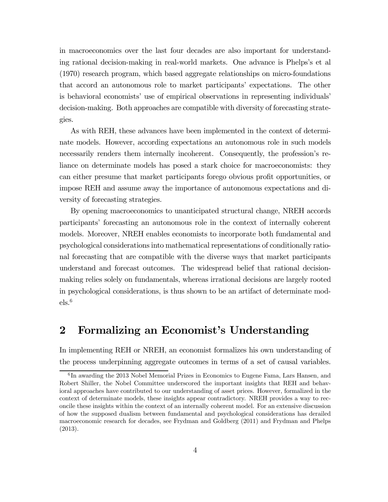in macroeconomics over the last four decades are also important for understanding rational decision-making in real-world markets. One advance is Phelps's et al (1970) research program, which based aggregate relationships on micro-foundations that accord an autonomous role to market participants' expectations. The other is behavioral economists' use of empirical observations in representing individuals' decision-making. Both approaches are compatible with diversity of forecasting strategies.

As with REH, these advances have been implemented in the context of determinate models. However, according expectations an autonomous role in such models necessarily renders them internally incoherent. Consequently, the profession's reliance on determinate models has posed a stark choice for macroeconomists: they can either presume that market participants forego obvious profit opportunities, or impose REH and assume away the importance of autonomous expectations and diversity of forecasting strategies.

By opening macroeconomics to unanticipated structural change, NREH accords participants' forecasting an autonomous role in the context of internally coherent models. Moreover, NREH enables economists to incorporate both fundamental and psychological considerations into mathematical representations of conditionally rational forecasting that are compatible with the diverse ways that market participants understand and forecast outcomes. The widespread belief that rational decisionmaking relies solely on fundamentals, whereas irrational decisions are largely rooted in psychological considerations, is thus shown to be an artifact of determinate mod $els.^6$ 

# 2 Formalizing an Economist's Understanding

In implementing REH or NREH, an economist formalizes his own understanding of the process underpinning aggregate outcomes in terms of a set of causal variables.

<sup>6</sup> In awarding the 2013 Nobel Memorial Prizes in Economics to Eugene Fama, Lars Hansen, and Robert Shiller, the Nobel Committee underscored the important insights that REH and behavioral approaches have contributed to our understanding of asset prices. However, formalized in the context of determinate models, these insights appear contradictory. NREH provides a way to reconcile these insights within the context of an internally coherent model. For an extensive discussion of how the supposed dualism between fundamental and psychological considerations has derailed macroeconomic research for decades, see Frydman and Goldberg (2011) and Frydman and Phelps (2013).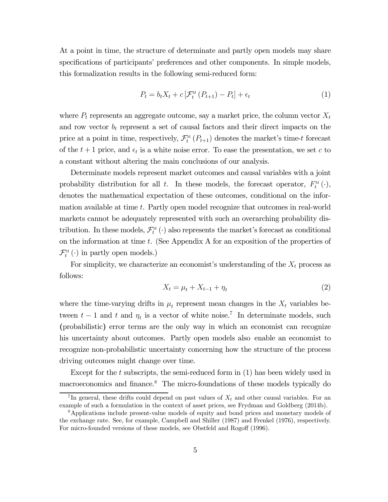At a point in time, the structure of determinate and partly open models may share specifications of participants' preferences and other components. In simple models, this formalization results in the following semi-reduced form:

$$
P_t = b_t X_t + c \left[ \mathcal{F}_t^{\mathcal{M}} \left( P_{t+1} \right) - P_t \right] + \epsilon_t \tag{1}
$$

where  $P_t$  represents an aggregate outcome, say a market price, the column vector  $X_t$ and row vector  $b_t$  represent a set of causal factors and their direct impacts on the price at a point in time, respectively,  $\mathcal{F}_t^M(P_{t+1})$  denotes the market's time-t forecast of the  $t + 1$  price, and  $\epsilon_t$  is a white noise error. To ease the presentation, we set c to a constant without altering the main conclusions of our analysis.

Determinate models represent market outcomes and causal variables with a joint probability distribution for all t. In these models, the forecast operator,  $F_t^{\scriptscriptstyle M}(\cdot)$ , denotes the mathematical expectation of these outcomes, conditional on the information available at time  $t$ . Partly open model recognize that outcomes in real-world markets cannot be adequately represented with such an overarching probability distribution. In these models,  $\mathcal{F}_t^{\scriptscriptstyle{M}}(\cdot)$  also represents the market's forecast as conditional on the information at time  $t$ . (See Appendix A for an exposition of the properties of  $\mathcal{F}_t^{\scriptscriptstyle{M}}\left(\cdot\right)$  in partly open models.)

For simplicity, we characterize an economist's understanding of the  $X_t$  process as follows:

$$
X_t = \mu_t + X_{t-1} + \eta_t \tag{2}
$$

where the time-varying drifts in  $\mu_t$  represent mean changes in the  $X_t$  variables between  $t - 1$  and t and  $\eta_t$  is a vector of white noise.<sup>7</sup> In determinate models, such (probabilistic) error terms are the only way in which an economist can recognize his uncertainty about outcomes. Partly open models also enable an economist to recognize non-probabilistic uncertainty concerning how the structure of the process driving outcomes might change over time.

Except for the  $t$  subscripts, the semi-reduced form in  $(1)$  has been widely used in macroeconomics and finance.8 The micro-foundations of these models typically do

<sup>&</sup>lt;sup>7</sup>In general, these drifts could depend on past values of  $X_t$  and other causal variables. For an example of such a formulation in the context of asset prices, see Frydman and Goldberg (2014b).

<sup>8</sup>Applications include present-value models of equity and bond prices and monetary models of the exchange rate. See, for example, Campbell and Shiller (1987) and Frenkel (1976), respectively. For micro-founded versions of these models, see Obstfeld and Rogoff (1996).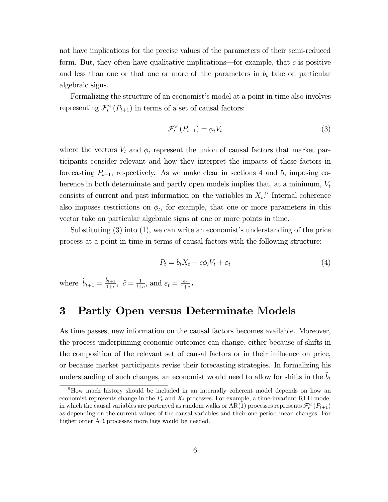not have implications for the precise values of the parameters of their semi-reduced form. But, they often have qualitative implications—for example, that  $c$  is positive and less than one or that one or more of the parameters in  $b_t$  take on particular algebraic signs.

Formalizing the structure of an economist's model at a point in time also involves representing  $\mathcal{F}_t^M(P_{t+1})$  in terms of a set of causal factors:

$$
\mathcal{F}_t^{\scriptscriptstyle{\mathrm{M}}}\left(P_{t+1}\right) = \phi_t V_t \tag{3}
$$

where the vectors  $V_t$  and  $\phi_t$  represent the union of causal factors that market participants consider relevant and how they interpret the impacts of these factors in forecasting  $P_{t+1}$ , respectively. As we make clear in sections 4 and 5, imposing coherence in both determinate and partly open models implies that, at a minimum,  $V_t$ consists of current and past information on the variables in  $X_t$ .<sup>9</sup> Internal coherence also imposes restrictions on  $\phi_t$ , for example, that one or more parameters in this vector take on particular algebraic signs at one or more points in time.

Substituting (3) into (1), we can write an economist's understanding of the price process at a point in time in terms of causal factors with the following structure:

$$
P_t = \tilde{b}_t X_t + \tilde{c} \phi_t V_t + \varepsilon_t \tag{4}
$$

where  $\tilde{b}_{t+1} = \frac{\tilde{b}_{t+1}}{1+c}, \ \tilde{c} = \frac{1}{1+c}, \text{ and } \varepsilon_t = \frac{\epsilon_t}{1+c}$ .

# 3 Partly Open versus Determinate Models

As time passes, new information on the causal factors becomes available. Moreover, the process underpinning economic outcomes can change, either because of shifts in the composition of the relevant set of causal factors or in their influence on price, or because market participants revise their forecasting strategies. In formalizing his understanding of such changes, an economist would need to allow for shifts in the  $\tilde{b}_t$ 

<sup>&</sup>lt;sup>9</sup>How much history should be included in an internally coherent model depends on how an economist represents change in the  $P_t$  and  $X_t$  processes. For example, a time-invariant REH model in which the causal variables are portrayed as random walks or AR(1) processes represents  $\mathcal{F}_t^{\text{\tiny{M}}}\left(P_{t+1}\right)$ as depending on the current values of the causal variables and their one-period mean changes. For higher order AR processes more lags would be needed.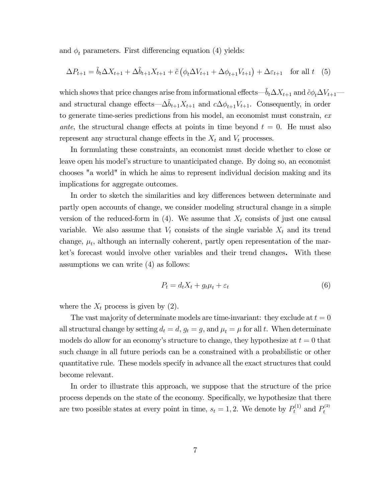and  $\phi_t$  parameters. First differencing equation (4) yields:

$$
\Delta P_{t+1} = \tilde{b}_t \Delta X_{t+1} + \Delta \tilde{b}_{t+1} X_{t+1} + \tilde{c} \left( \phi_t \Delta V_{t+1} + \Delta \phi_{t+1} V_{t+1} \right) + \Delta \varepsilon_{t+1} \quad \text{for all } t \quad (5)
$$

which shows that price changes arise from informational effects— $\tilde{b}_t \Delta X_{t+1}$  and  $\tilde{c} \phi_t \Delta V_{t+1}$  and structural change effects— $\Delta \tilde{b}_{t+1}X_{t+1}$  and  $c\Delta \phi_{t+1}V_{t+1}$ . Consequently, in order to generate time-series predictions from his model, an economist must constrain, ex ante, the structural change effects at points in time beyond  $t = 0$ . He must also represent any structural change effects in the  $X_t$  and  $V_t$  processes.

In formulating these constraints, an economist must decide whether to close or leave open his model's structure to unanticipated change. By doing so, an economist chooses "a world" in which he aims to represent individual decision making and its implications for aggregate outcomes.

In order to sketch the similarities and key differences between determinate and partly open accounts of change, we consider modeling structural change in a simple version of the reduced-form in  $(4)$ . We assume that  $X_t$  consists of just one causal variable. We also assume that  $V_t$  consists of the single variable  $X_t$  and its trend change,  $\mu_t$ , although an internally coherent, partly open representation of the market's forecast would involve other variables and their trend changes. With these assumptions we can write (4) as follows:

$$
P_t = d_t X_t + g_t \mu_t + \varepsilon_t \tag{6}
$$

where the  $X_t$  process is given by  $(2)$ .

The vast majority of determinate models are time-invariant: they exclude at  $t = 0$ all structural change by setting  $d_t = d$ ,  $g_t = g$ , and  $\mu_t = \mu$  for all t. When determinate models do allow for an economy's structure to change, they hypothesize at  $t = 0$  that such change in all future periods can be a constrained with a probabilistic or other quantitative rule. These models specify in advance all the exact structures that could become relevant.

In order to illustrate this approach, we suppose that the structure of the price process depends on the state of the economy. Specifically, we hypothesize that there are two possible states at every point in time,  $s_t = 1, 2$ . We denote by  $P_t^{(1)}$  and  $P_t^{(2)}$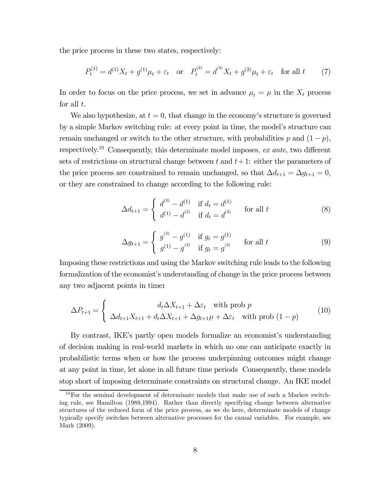the price process in these two states, respectively:

$$
P_t^{(1)} = d^{(1)}X_t + g^{(1)}\mu_t + \varepsilon_t \quad \text{or} \quad P_t^{(2)} = d^{(2)}X_t + g^{(2)}\mu_t + \varepsilon_t \quad \text{for all } t \tag{7}
$$

In order to focus on the price process, we set in advance  $\mu_t = \mu$  in the  $X_t$  process for all  $t$ .

We also hypothesize, at  $t = 0$ , that change in the economy's structure is governed by a simple Markov switching rule: at every point in time, the model's structure can remain unchanged or switch to the other structure, with probabilities p and  $(1 - p)$ , respectively.<sup>10</sup> Consequently, this determinate model imposes, ex ante, two different sets of restrictions on structural change between t and  $t+1$ : either the parameters of the price process are constrained to remain unchanged, so that  ${\Delta d}_{t+1} = {\Delta g}_{t+1} = 0$ , or they are constrained to change according to the following rule:

$$
\Delta d_{t+1} = \begin{cases} d^{(2)} - d^{(1)} & \text{if } d_t = d^{(1)} \\ d^{(1)} - d^{(2)} & \text{if } d_t = d^{(2)} \end{cases} \quad \text{for all } t \tag{8}
$$

$$
\Delta g_{t+1} = \begin{cases} g^{(2)} - g^{(1)} & \text{if } g_t = g^{(1)} \\ g^{(1)} - g^{(2)} & \text{if } g_t = g^{(2)} \end{cases} \quad \text{for all } t \tag{9}
$$

Imposing these restrictions and using the Markov switching rule leads to the following formalization of the economist's understanding of change in the price process between any two adjacent points in time:

$$
\Delta P_{t+1} = \begin{cases} d_t \Delta X_{t+1} + \Delta \varepsilon_t \quad \text{with prob } p \\ \Delta d_{t+1} X_{t+1} + d_t \Delta X_{t+1} + \Delta g_{t+1} \mu + \Delta \varepsilon_t \quad \text{with prob } (1-p) \end{cases} \tag{10}
$$

By contrast, IKE's partly open models formalize an economist's understanding of decision making in real-world markets in which no one can anticipate exactly in probabilistic terms when or how the process underpinning outcomes might change at any point in time, let alone in all future time periods Consequently, these models stop short of imposing determinate constraints on structural change. An IKE model

 $10$ For the seminal development of determinate models that make use of such a Markov switching rule, see Hamilton (1988,1994). Rather than directly specifying change between alternative structures of the reduced form of the price process, as we do here, determinate models of change typically specify switches between alternative processes for the causal variables. For example, see Mark (2009).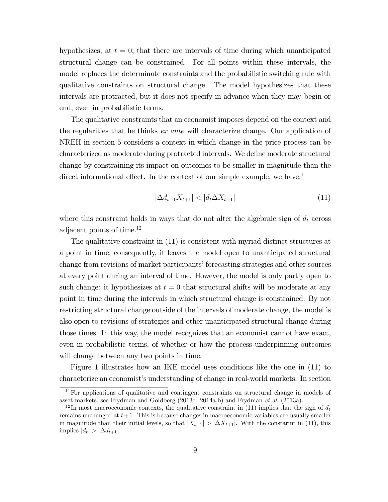hypothesizes, at  $t = 0$ , that there are intervals of time during which unanticipated structural change can be constrained. For all points within these intervals, the model replaces the determinate constraints and the probabilistic switching rule with qualitative constraints on structural change. The model hypothesizes that these intervals are protracted, but it does not specify in advance when they may begin or end, even in probabilistic terms.

The qualitative constraints that an economist imposes depend on the context and the regularities that he thinks ex ante will characterize change. Our application of NREH in section 5 considers a context in which change in the price process can be characterized as moderate during protracted intervals. We define moderate structural change by constraining its impact on outcomes to be smaller in magnitude than the direct informational effect. In the context of our simple example, we have: $^{11}$ 

$$
|\Delta d_{t+1}X_{t+1}| < |d_t \Delta X_{t+1}| \tag{11}
$$

where this constraint holds in ways that do not alter the algebraic sign of  $d_t$  across adjacent points of time.12

The qualitative constraint in (11) is consistent with myriad distinct structures at a point in time; consequently, it leaves the model open to unanticipated structural change from revisions of market participants' forecasting strategies and other sources at every point during an interval of time. However, the model is only partly open to such change: it hypothesizes at  $t = 0$  that structural shifts will be moderate at any point in time during the intervals in which structural change is constrained. By not restricting structural change outside of the intervals of moderate change, the model is also open to revisions of strategies and other unanticipated structural change during those times. In this way, the model recognizes that an economist cannot have exact, even in probabilistic terms, of whether or how the process underpinning outcomes will change between any two points in time.

Figure 1 illustrates how an IKE model uses conditions like the one in (11) to characterize an economist's understanding of change in real-world markets. In section

 $11$  For applications of qualitative and contingent constraints on structural change in models of asset markets, see Frydman and Goldberg (2013d, 2014a,b) and Frydman et al. (2013a).

<sup>&</sup>lt;sup>12</sup>In most macroeconomic contexts, the qualitative constraint in (11) implies that the sign of  $d_t$ remains unchanged at  $t+1$ . This is because changes in macroeconomic variables are usually smaller in magnitude than their initial levels, so that  $|X_{t+1}| > |\Delta X_{t+1}|$ . With the constarint in (11), this implies  $|d_t| > |\Delta d_{t+1}|$ .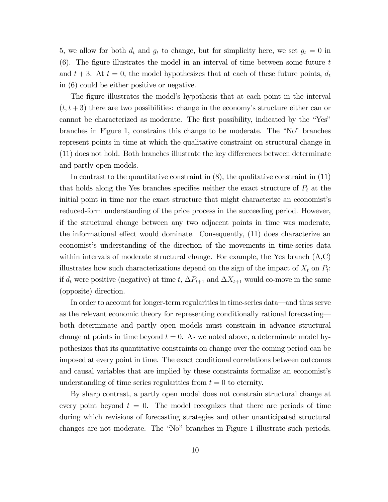5, we allow for both  $d_t$  and  $g_t$  to change, but for simplicity here, we set  $g_t = 0$  in  $(6)$ . The figure illustrates the model in an interval of time between some future t and  $t + 3$ . At  $t = 0$ , the model hypothesizes that at each of these future points,  $d_t$ in (6) could be either positive or negative.

The figure illustrates the model's hypothesis that at each point in the interval  $(t, t + 3)$  there are two possibilities: change in the economy's structure either can or cannot be characterized as moderate. The first possibility, indicated by the "Yes" branches in Figure 1, constrains this change to be moderate. The "No" branches represent points in time at which the qualitative constraint on structural change in  $(11)$  does not hold. Both branches illustrate the key differences between determinate and partly open models.

In contrast to the quantitative constraint in  $(8)$ , the qualitative constraint in  $(11)$ that holds along the Yes branches specifies neither the exact structure of  $P_t$  at the initial point in time nor the exact structure that might characterize an economist's reduced-form understanding of the price process in the succeeding period. However, if the structural change between any two adjacent points in time was moderate, the informational effect would dominate. Consequently,  $(11)$  does characterize an economist's understanding of the direction of the movements in time-series data within intervals of moderate structural change. For example, the Yes branch  $(A,C)$ illustrates how such characterizations depend on the sign of the impact of  $X_t$  on  $P_t$ : if  $d_t$  were positive (negative) at time t,  $\Delta P_{t+1}$  and  $\Delta X_{t+1}$  would co-move in the same (opposite) direction.

In order to account for longer-term regularities in time-series data–and thus serve as the relevant economic theory for representing conditionally rational forecasting– both determinate and partly open models must constrain in advance structural change at points in time beyond  $t = 0$ . As we noted above, a determinate model hypothesizes that its quantitative constraints on change over the coming period can be imposed at every point in time. The exact conditional correlations between outcomes and causal variables that are implied by these constraints formalize an economist's understanding of time series regularities from  $t = 0$  to eternity.

By sharp contrast, a partly open model does not constrain structural change at every point beyond  $t = 0$ . The model recognizes that there are periods of time during which revisions of forecasting strategies and other unanticipated structural changes are not moderate. The "No" branches in Figure 1 illustrate such periods.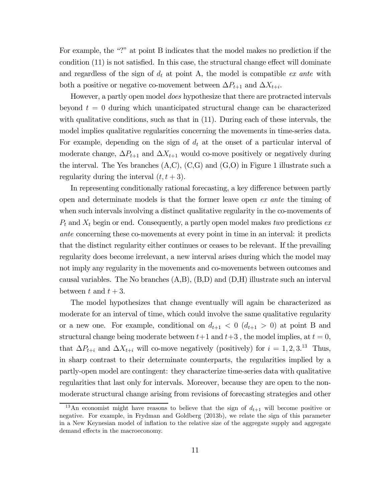For example, the "?" at point B indicates that the model makes no prediction if the condition  $(11)$  is not satisfied. In this case, the structural change effect will dominate and regardless of the sign of  $d_t$  at point A, the model is compatible ex ante with both a positive or negative co-movement between  $\Delta P_{t+1}$  and  $\Delta X_{t+i}$ .

However, a partly open model does hypothesize that there are protracted intervals beyond  $t = 0$  during which unanticipated structural change can be characterized with qualitative conditions, such as that in (11). During each of these intervals, the model implies qualitative regularities concerning the movements in time-series data. For example, depending on the sign of  $d_t$  at the onset of a particular interval of moderate change,  $\Delta P_{t+1}$  and  $\Delta X_{t+1}$  would co-move positively or negatively during the interval. The Yes branches  $(A,C)$ ,  $(C,G)$  and  $(G,O)$  in Figure 1 illustrate such a regularity during the interval  $(t, t + 3)$ .

In representing conditionally rational forecasting, a key difference between partly open and determinate models is that the former leave open ex ante the timing of when such intervals involving a distinct qualitative regularity in the co-movements of  $P_t$  and  $X_t$  begin or end. Consequently, a partly open model makes two predictions ex ante concerning these co-movements at every point in time in an interval: it predicts that the distinct regularity either continues or ceases to be relevant. If the prevailing regularity does become irrelevant, a new interval arises during which the model may not imply any regularity in the movements and co-movements between outcomes and causal variables. The No branches  $(A,B)$ ,  $(B,D)$  and  $(D,H)$  illustrate such an interval between t and  $t + 3$ .

The model hypothesizes that change eventually will again be characterized as moderate for an interval of time, which could involve the same qualitative regularity or a new one. For example, conditional on  $d_{t+1} < 0$  ( $d_{t+1} > 0$ ) at point B and structural change being moderate between  $t+1$  and  $t+3$ , the model implies, at  $t=0$ , that  $\Delta P_{t+i}$  and  $\Delta X_{t+i}$  will co-move negatively (positively) for  $i = 1, 2, 3$ .<sup>13</sup> Thus, in sharp contrast to their determinate counterparts, the regularities implied by a partly-open model are contingent: they characterize time-series data with qualitative regularities that last only for intervals. Moreover, because they are open to the nonmoderate structural change arising from revisions of forecasting strategies and other

<sup>&</sup>lt;sup>13</sup>An economist might have reasons to believe that the sign of  $d_{t+1}$  will become positive or negative. For example, in Frydman and Goldberg (2013b), we relate the sign of this parameter in a New Keynesian model of inflation to the relative size of the aggregate supply and aggregate demand effects in the macroeconomy.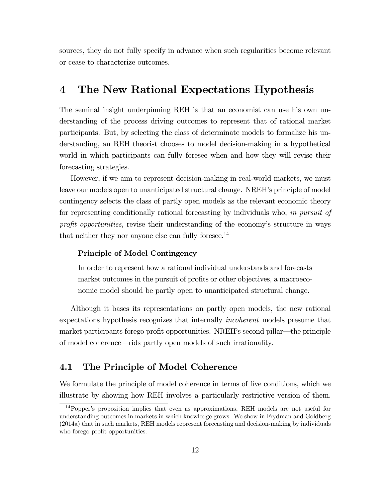sources, they do not fully specify in advance when such regularities become relevant or cease to characterize outcomes.

## 4 The New Rational Expectations Hypothesis

The seminal insight underpinning REH is that an economist can use his own understanding of the process driving outcomes to represent that of rational market participants. But, by selecting the class of determinate models to formalize his understanding, an REH theorist chooses to model decision-making in a hypothetical world in which participants can fully foresee when and how they will revise their forecasting strategies.

However, if we aim to represent decision-making in real-world markets, we must leave our models open to unanticipated structural change. NREH's principle of model contingency selects the class of partly open models as the relevant economic theory for representing conditionally rational forecasting by individuals who, in pursuit of profit opportunities, revise their understanding of the economy's structure in ways that neither they nor anyone else can fully foresee.<sup>14</sup>

## Principle of Model Contingency

In order to represent how a rational individual understands and forecasts market outcomes in the pursuit of profits or other objectives, a macroeconomic model should be partly open to unanticipated structural change.

Although it bases its representations on partly open models, the new rational expectations hypothesis recognizes that internally incoherent models presume that market participants forego profit opportunities. NREH's second pillar–the principle of model coherence–rids partly open models of such irrationality.

## 4.1 The Principle of Model Coherence

We formulate the principle of model coherence in terms of five conditions, which we illustrate by showing how REH involves a particularly restrictive version of them.

<sup>14</sup>Popper's proposition implies that even as approximations, REH models are not useful for understanding outcomes in markets in which knowledge grows. We show in Frydman and Goldberg (2014a) that in such markets, REH models represent forecasting and decision-making by individuals who forego profit opportunities.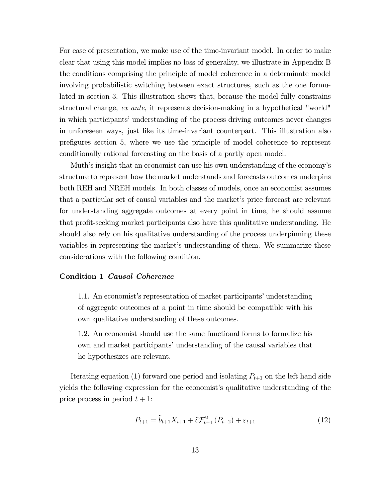For ease of presentation, we make use of the time-invariant model. In order to make clear that using this model implies no loss of generality, we illustrate in Appendix B the conditions comprising the principle of model coherence in a determinate model involving probabilistic switching between exact structures, such as the one formulated in section 3. This illustration shows that, because the model fully constrains structural change, ex ante, it represents decision-making in a hypothetical "world" in which participants' understanding of the process driving outcomes never changes in unforeseen ways, just like its time-invariant counterpart. This illustration also prefigures section 5, where we use the principle of model coherence to represent conditionally rational forecasting on the basis of a partly open model.

Muth's insight that an economist can use his own understanding of the economy's structure to represent how the market understands and forecasts outcomes underpins both REH and NREH models. In both classes of models, once an economist assumes that a particular set of causal variables and the market's price forecast are relevant for understanding aggregate outcomes at every point in time, he should assume that profit-seeking market participants also have this qualitative understanding. He should also rely on his qualitative understanding of the process underpinning these variables in representing the market's understanding of them. We summarize these considerations with the following condition.

## Condition 1 Causal Coherence

1.1. An economist's representation of market participants' understanding of aggregate outcomes at a point in time should be compatible with his own qualitative understanding of these outcomes.

1.2. An economist should use the same functional forms to formalize his own and market participants' understanding of the causal variables that he hypothesizes are relevant.

Iterating equation (1) forward one period and isolating  $P_{t+1}$  on the left hand side yields the following expression for the economist's qualitative understanding of the price process in period  $t + 1$ :

$$
P_{t+1} = \tilde{b}_{t+1} X_{t+1} + \tilde{c} \mathcal{F}_{t+1}^{\mathcal{M}} (P_{t+2}) + \varepsilon_{t+1}
$$
 (12)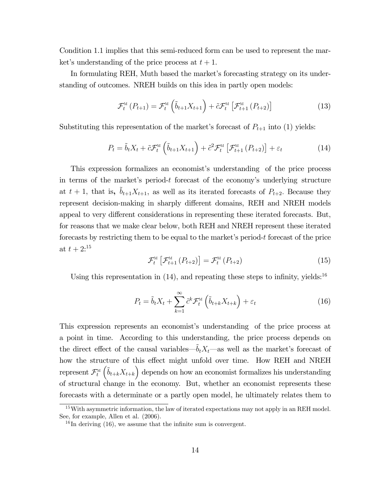Condition 1.1 implies that this semi-reduced form can be used to represent the market's understanding of the price process at  $t + 1$ .

In formulating REH, Muth based the market's forecasting strategy on its understanding of outcomes. NREH builds on this idea in partly open models:

$$
\mathcal{F}_{t}^{\scriptscriptstyle{\mathrm{M}}}\left(P_{t+1}\right)=\mathcal{F}_{t}^{\scriptscriptstyle{\mathrm{M}}}\left(\tilde{b}_{t+1}X_{t+1}\right)+\tilde{c}\mathcal{F}_{t}^{\scriptscriptstyle{\mathrm{M}}}\left[\mathcal{F}_{t+1}^{\scriptscriptstyle{\mathrm{M}}}\left(P_{t+2}\right)\right]
$$
\n(13)

Substituting this representation of the market's forecast of  $P_{t+1}$  into (1) yields:

$$
P_{t} = \tilde{b}_{t} X_{t} + \tilde{c} \mathcal{F}_{t}^{\mathcal{M}} \left( \tilde{b}_{t+1} X_{t+1} \right) + \tilde{c}^{2} \mathcal{F}_{t}^{\mathcal{M}} \left[ \mathcal{F}_{t+1}^{\mathcal{M}} \left( P_{t+2} \right) \right] + \varepsilon_{t}
$$
\n(14)

This expression formalizes an economist's understanding of the price process in terms of the market's period- $t$  forecast of the economy's underlying structure at  $t + 1$ , that is,  $\tilde{b}_{t+1}X_{t+1}$ , as well as its iterated forecasts of  $P_{t+2}$ . Because they represent decision-making in sharply different domains, REH and NREH models appeal to very different considerations in representing these iterated forecasts. But, for reasons that we make clear below, both REH and NREH represent these iterated forecasts by restricting them to be equal to the market's period-t forecast of the price at  $t + 2$ :<sup>15</sup>

$$
\mathcal{F}_{t}^{\scriptscriptstyle{\mathrm{M}}}\left[\mathcal{F}_{t+1}^{\scriptscriptstyle{\mathrm{M}}}\left(P_{t+2}\right)\right]=\mathcal{F}_{t}^{\scriptscriptstyle{\mathrm{M}}}\left(P_{t+2}\right) \tag{15}
$$

Using this representation in  $(14)$ , and repeating these steps to infinity, yields:<sup>16</sup>

$$
P_t = \tilde{b}_t X_t + \sum_{k=1}^{\infty} \tilde{c}^k \mathcal{F}_t^M \left( \tilde{b}_{t+k} X_{t+k} \right) + \varepsilon_t \tag{16}
$$

This expression represents an economist's understanding of the price process at a point in time. According to this understanding, the price process depends on the direct effect of the causal variables– $\tilde{b}_t X_t$ —as well as the market's forecast of how the structure of this effect might unfold over time. How REH and NREH represent  $\mathcal{F}_t^{\text{M}}$  $(\tilde{b}_{t+k}X_{t+k})$  depends on how an economist formalizes his understanding of structural change in the economy. But, whether an economist represents these forecasts with a determinate or a partly open model, he ultimately relates them to

<sup>&</sup>lt;sup>15</sup>With asymmetric information, the law of iterated expectations may not apply in an REH model. See, for example, Allen et al. (2006).

 $^{16}$ In deriving (16), we assume that the infinite sum is convergent.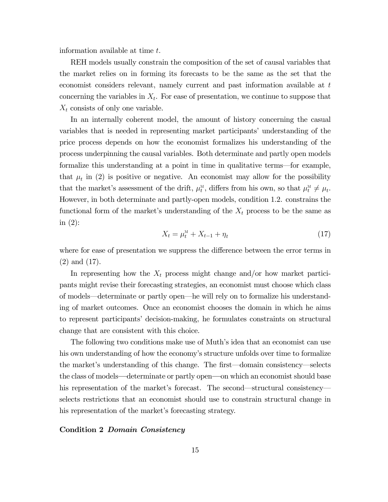information available at time  $t$ .

REH models usually constrain the composition of the set of causal variables that the market relies on in forming its forecasts to be the same as the set that the economist considers relevant, namely current and past information available at  $t$ concerning the variables in  $X_t$ . For ease of presentation, we continue to suppose that  $X_t$  consists of only one variable.

In an internally coherent model, the amount of history concerning the casual variables that is needed in representing market participants' understanding of the price process depends on how the economist formalizes his understanding of the process underpinning the causal variables. Both determinate and partly open models formalize this understanding at a point in time in qualitative terms–for example, that  $\mu_t$  in (2) is positive or negative. An economist may allow for the possibility that the market's assessment of the drift,  $\mu_t^M$ , differs from his own, so that  $\mu_t^M \neq \mu_t$ . However, in both determinate and partly-open models, condition 1.2. constrains the functional form of the market's understanding of the  $X_t$  process to be the same as in (2):

$$
X_t = \mu_t^M + X_{t-1} + \eta_t \tag{17}
$$

where for ease of presentation we suppress the difference between the error terms in (2) and (17).

In representing how the  $X_t$  process might change and/or how market participants might revise their forecasting strategies, an economist must choose which class of models–determinate or partly open–he will rely on to formalize his understanding of market outcomes. Once an economist chooses the domain in which he aims to represent participants' decision-making, he formulates constraints on structural change that are consistent with this choice.

The following two conditions make use of Muth's idea that an economist can use his own understanding of how the economy's structure unfolds over time to formalize the market's understanding of this change. The first–domain consistency–selects the class of models–determinate or partly open–on which an economist should base his representation of the market's forecast. The second—structural consistency selects restrictions that an economist should use to constrain structural change in his representation of the market's forecasting strategy.

### Condition 2 Domain Consistency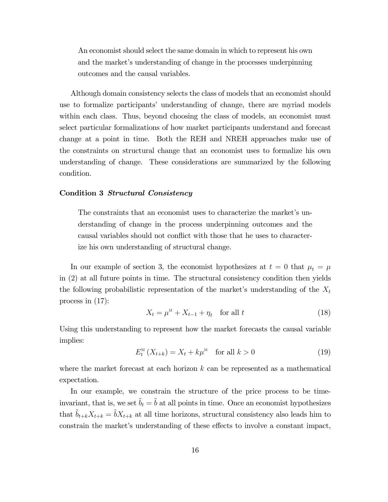An economist should select the same domain in which to represent his own and the market's understanding of change in the processes underpinning outcomes and the causal variables.

Although domain consistency selects the class of models that an economist should use to formalize participants' understanding of change, there are myriad models within each class. Thus, beyond choosing the class of models, an economist must select particular formalizations of how market participants understand and forecast change at a point in time. Both the REH and NREH approaches make use of the constraints on structural change that an economist uses to formalize his own understanding of change. These considerations are summarized by the following condition.

### Condition 3 Structural Consistency

The constraints that an economist uses to characterize the market's understanding of change in the process underpinning outcomes and the causal variables should not conflict with those that he uses to characterize his own understanding of structural change.

In our example of section 3, the economist hypothesizes at  $t = 0$  that  $\mu_t = \mu$ in (2) at all future points in time. The structural consistency condition then yields the following probabilistic representation of the market's understanding of the  $X_t$ process in (17):

$$
X_t = \mu^M + X_{t-1} + \eta_t \quad \text{for all } t \tag{18}
$$

Using this understanding to represent how the market forecasts the causal variable implies:

$$
E_t^{\mathcal{M}}\left(X_{t+k}\right) = X_t + k\mu^{\mathcal{M}} \quad \text{for all } k > 0 \tag{19}
$$

where the market forecast at each horizon  $k$  can be represented as a mathematical expectation.

In our example, we constrain the structure of the price process to be timeinvariant, that is, we set  $\tilde{b}_t = \tilde{b}$  at all points in time. Once an economist hypothesizes that  $\tilde{b}_{t+k}X_{t+k} = \tilde{b}X_{t+k}$  at all time horizons, structural consistency also leads him to constrain the market's understanding of these effects to involve a constant impact,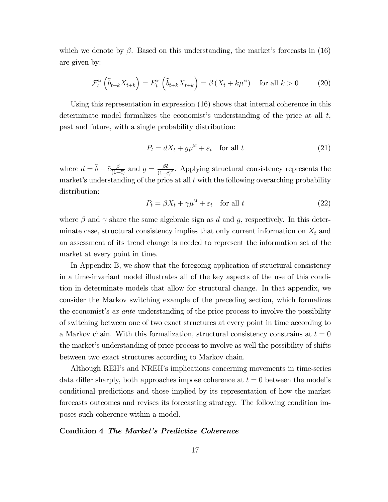which we denote by  $\beta$ . Based on this understanding, the market's forecasts in (16) are given by:

$$
\mathcal{F}_t^{\scriptscriptstyle{\mathrm{M}}}\left(\tilde{b}_{t+k}X_{t+k}\right) = E_t^{\scriptscriptstyle{\mathrm{M}}}\left(\tilde{b}_{t+k}X_{t+k}\right) = \beta\left(X_t + k\mu^{\scriptscriptstyle{\mathrm{M}}}\right) \quad \text{for all } k > 0 \tag{20}
$$

Using this representation in expression (16) shows that internal coherence in this determinate model formalizes the economist's understanding of the price at all  $t$ , past and future, with a single probability distribution:

$$
P_t = dX_t + g\mu^M + \varepsilon_t \quad \text{for all } t \tag{21}
$$

where  $d = \tilde{b} + \tilde{c} \frac{\beta}{(1-\tilde{c})^2}$  and  $g = \frac{\beta \tilde{c}}{(1-\tilde{c})^2}$ . Applying structural consistency represents the market's understanding of the price at all  $t$  with the following overarching probability distribution:

$$
P_t = \beta X_t + \gamma \mu^M + \varepsilon_t \quad \text{for all } t \tag{22}
$$

where  $\beta$  and  $\gamma$  share the same algebraic sign as d and q, respectively. In this determinate case, structural consistency implies that only current information on  $X_t$  and an assessment of its trend change is needed to represent the information set of the market at every point in time.

In Appendix B, we show that the foregoing application of structural consistency in a time-invariant model illustrates all of the key aspects of the use of this condition in determinate models that allow for structural change. In that appendix, we consider the Markov switching example of the preceding section, which formalizes the economist's *ex ante* understanding of the price process to involve the possibility of switching between one of two exact structures at every point in time according to a Markov chain. With this formalization, structural consistency constrains at  $t = 0$ the market's understanding of price process to involve as well the possibility of shifts between two exact structures according to Markov chain.

Although REH's and NREH's implications concerning movements in time-series data differ sharply, both approaches impose coherence at  $t = 0$  between the model's conditional predictions and those implied by its representation of how the market forecasts outcomes and revises its forecasting strategy. The following condition imposes such coherence within a model.

#### Condition 4 The Market's Predictive Coherence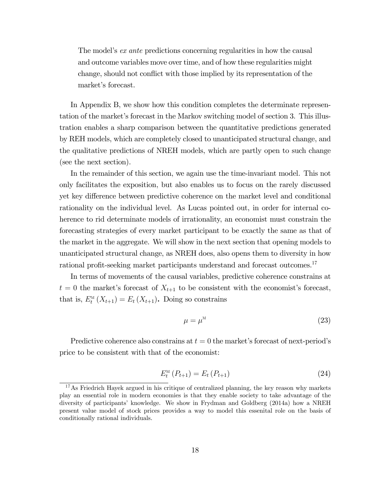The model's ex ante predictions concerning regularities in how the causal and outcome variables move over time, and of how these regularities might change, should not conflict with those implied by its representation of the market's forecast.

In Appendix B, we show how this condition completes the determinate representation of the market's forecast in the Markov switching model of section 3. This illustration enables a sharp comparison between the quantitative predictions generated by REH models, which are completely closed to unanticipated structural change, and the qualitative predictions of NREH models, which are partly open to such change (see the next section).

In the remainder of this section, we again use the time-invariant model. This not only facilitates the exposition, but also enables us to focus on the rarely discussed yet key difference between predictive coherence on the market level and conditional rationality on the individual level. As Lucas pointed out, in order for internal coherence to rid determinate models of irrationality, an economist must constrain the forecasting strategies of every market participant to be exactly the same as that of the market in the aggregate. We will show in the next section that opening models to unanticipated structural change, as NREH does, also opens them to diversity in how rational profit-seeking market participants understand and forecast outcomes.<sup>17</sup>

In terms of movements of the causal variables, predictive coherence constrains at  $t = 0$  the market's forecast of  $X_{t+1}$  to be consistent with the economist's forecast, that is,  $E_t^M(X_{t+1}) = E_t(X_{t+1})$ . Doing so constrains

$$
\mu = \mu^M \tag{23}
$$

Predictive coherence also constrains at  $t = 0$  the market's forecast of next-period's price to be consistent with that of the economist:

$$
E_t^{\scriptscriptstyle{\rm M}}\left(P_{t+1}\right) = E_t\left(P_{t+1}\right) \tag{24}
$$

 $17\text{ As Friedrich Havek argued in his critique of centralized planning, the key reason why markets}$ play an essential role in modern economies is that they enable society to take advantage of the diversity of participants' knowledge. We show in Frydman and Goldberg (2014a) how a NREH present value model of stock prices provides a way to model this essenital role on the basis of conditionally rational individuals.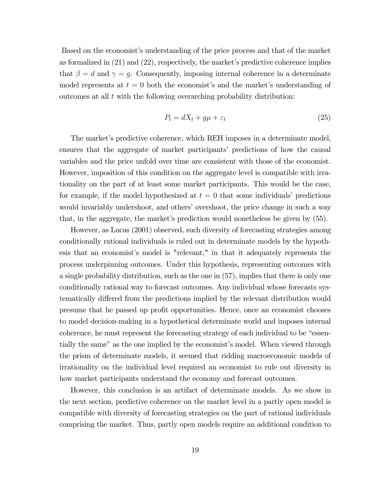Based on the economist's understanding of the price process and that of the market as formalized in (21) and (22), respectively, the market's predictive coherence implies that  $\beta = d$  and  $\gamma = g$ . Consequently, imposing internal coherence in a determinate model represents at  $t = 0$  both the economist's and the market's understanding of outcomes at all  $t$  with the following overarching probability distribution:

$$
P_t = dX_t + g\mu + \varepsilon_t \tag{25}
$$

The market's predictive coherence, which REH imposes in a determinate model, ensures that the aggregate of market participants' predictions of how the causal variables and the price unfold over time are consistent with those of the economist. However, imposition of this condition on the aggregate level is compatible with irrationality on the part of at least some market participants. This would be the case, for example, if the model hypothesized at  $t = 0$  that some individuals' predictions would invariably undershoot, and others' overshoot, the price change in such a way that, in the aggregate, the market's prediction would nonetheless be given by (55).

However, as Lucas (2001) observed, such diversity of forecasting strategies among conditionally rational individuals is ruled out in determinate models by the hypothesis that an economist's model is "relevant," in that it adequately represents the process underpinning outcomes. Under this hypothesis, representing outcomes with a single probability distribution, such as the one in (57), implies that there is only one conditionally rational way to forecast outcomes. Any individual whose forecasts systematically differed from the predictions implied by the relevant distribution would presume that he passed up profit opportunities. Hence, once an economist chooses to model decision-making in a hypothetical determinate world and imposes internal coherence, he must represent the forecasting strategy of each individual to be "essentially the same" as the one implied by the economist's model. When viewed through the prism of determinate models, it seemed that ridding macroeconomic models of irrationality on the individual level required an economist to rule out diversity in how market participants understand the economy and forecast outcomes.

However, this conclusion is an artifact of determinate models. As we show in the next section, predictive coherence on the market level in a partly open model is compatible with diversity of forecasting strategies on the part of rational individuals comprising the market. Thus, partly open models require an additional condition to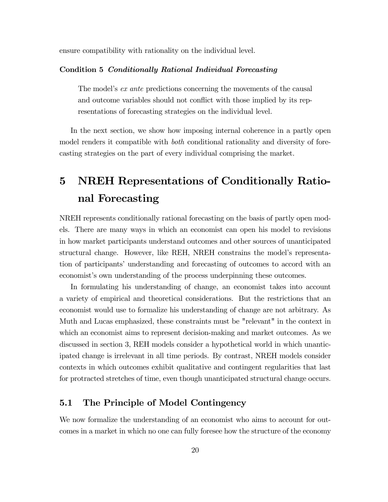ensure compatibility with rationality on the individual level.

## Condition 5 Conditionally Rational Individual Forecasting

The model's *ex ante* predictions concerning the movements of the causal and outcome variables should not conflict with those implied by its representations of forecasting strategies on the individual level.

In the next section, we show how imposing internal coherence in a partly open model renders it compatible with *both* conditional rationality and diversity of forecasting strategies on the part of every individual comprising the market.

# 5 NREH Representations of Conditionally Rational Forecasting

NREH represents conditionally rational forecasting on the basis of partly open models. There are many ways in which an economist can open his model to revisions in how market participants understand outcomes and other sources of unanticipated structural change. However, like REH, NREH constrains the model's representation of participants' understanding and forecasting of outcomes to accord with an economist's own understanding of the process underpinning these outcomes.

In formulating his understanding of change, an economist takes into account a variety of empirical and theoretical considerations. But the restrictions that an economist would use to formalize his understanding of change are not arbitrary. As Muth and Lucas emphasized, these constraints must be "relevant" in the context in which an economist aims to represent decision-making and market outcomes. As we discussed in section 3, REH models consider a hypothetical world in which unanticipated change is irrelevant in all time periods. By contrast, NREH models consider contexts in which outcomes exhibit qualitative and contingent regularities that last for protracted stretches of time, even though unanticipated structural change occurs.

## 5.1 The Principle of Model Contingency

We now formalize the understanding of an economist who aims to account for outcomes in a market in which no one can fully foresee how the structure of the economy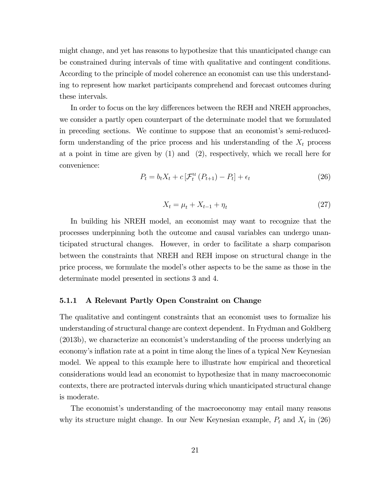might change, and yet has reasons to hypothesize that this unanticipated change can be constrained during intervals of time with qualitative and contingent conditions. According to the principle of model coherence an economist can use this understanding to represent how market participants comprehend and forecast outcomes during these intervals.

In order to focus on the key differences between the REH and NREH approaches, we consider a partly open counterpart of the determinate model that we formulated in preceding sections. We continue to suppose that an economist's semi-reducedform understanding of the price process and his understanding of the  $X_t$  process at a point in time are given by (1) and (2), respectively, which we recall here for convenience:

$$
P_t = b_t X_t + c \left[ \mathcal{F}_t^M \left( P_{t+1} \right) - P_t \right] + \epsilon_t \tag{26}
$$

$$
X_t = \mu_t + X_{t-1} + \eta_t \tag{27}
$$

In building his NREH model, an economist may want to recognize that the processes underpinning both the outcome and causal variables can undergo unanticipated structural changes. However, in order to facilitate a sharp comparison between the constraints that NREH and REH impose on structural change in the price process, we formulate the model's other aspects to be the same as those in the determinate model presented in sections 3 and 4.

## 5.1.1 A Relevant Partly Open Constraint on Change

The qualitative and contingent constraints that an economist uses to formalize his understanding of structural change are context dependent. In Frydman and Goldberg (2013b), we characterize an economist's understanding of the process underlying an economy's inflation rate at a point in time along the lines of a typical New Keynesian model. We appeal to this example here to illustrate how empirical and theoretical considerations would lead an economist to hypothesize that in many macroeconomic contexts, there are protracted intervals during which unanticipated structural change is moderate.

The economist's understanding of the macroeconomy may entail many reasons why its structure might change. In our New Keynesian example,  $P_t$  and  $X_t$  in (26)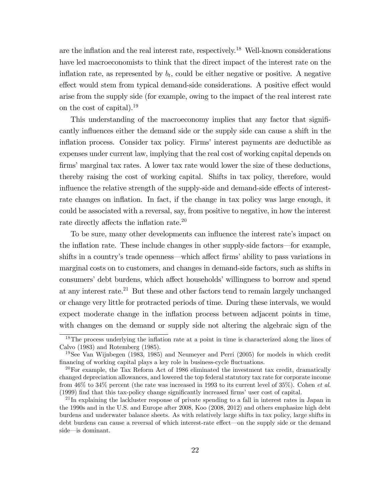are the inflation and the real interest rate, respectively.<sup>18</sup> Well-known considerations have led macroeconomists to think that the direct impact of the interest rate on the inflation rate, as represented by  $b_t$ , could be either negative or positive. A negative effect would stem from typical demand-side considerations. A positive effect would arise from the supply side (for example, owing to the impact of the real interest rate on the cost of capital).19

This understanding of the macroeconomy implies that any factor that significantly influences either the demand side or the supply side can cause a shift in the inflation process. Consider tax policy. Firms' interest payments are deductible as expenses under current law, implying that the real cost of working capital depends on firms' marginal tax rates. A lower tax rate would lower the size of these deductions, thereby raising the cost of working capital. Shifts in tax policy, therefore, would influence the relative strength of the supply-side and demand-side effects of interestrate changes on inflation. In fact, if the change in tax policy was large enough, it could be associated with a reversal, say, from positive to negative, in how the interest rate directly affects the inflation rate. $20$ 

To be sure, many other developments can influence the interest rate's impact on the inflation rate. These include changes in other supply-side factors–for example, shifts in a country's trade openness—which affect firms' ability to pass variations in marginal costs on to customers, and changes in demand-side factors, such as shifts in consumers' debt burdens, which affect households' willingness to borrow and spend at any interest rate.21 But these and other factors tend to remain largely unchanged or change very little for protracted periods of time. During these intervals, we would expect moderate change in the inflation process between adjacent points in time, with changes on the demand or supply side not altering the algebraic sign of the

<sup>&</sup>lt;sup>18</sup>The process underlying the inflation rate at a point in time is characterized along the lines of Calvo (1983) and Rotemberg (1985).

<sup>19</sup>See Van Wijnbegen (1983, 1985) and Neumeyer and Perri (2005) for models in which credit financing of working capital plays a key role in business-cycle fluctuations.

<sup>&</sup>lt;sup>20</sup>For example, the Tax Reform Act of 1986 eliminated the investment tax credit, dramatically changed depreciation allowances, and lowered the top federal statutory tax rate for corporate income from 46% to 34% percent (the rate was increased in 1993 to its current level of 35%). Cohen et al. (1999) find that this tax-policy change significantly increased firms' user cost of capital.

 $^{21}$  In explaining the lackluster response of private spending to a fall in interest rates in Japan in the 1990s and in the U.S. and Europe after 2008, Koo (2008, 2012) and others emphasize high debt burdens and underwater balance sheets. As with relatively large shifts in tax policy, large shifts in debt burdens can cause a reversal of which interest-rate effect—on the supply side or the demand side–is dominant.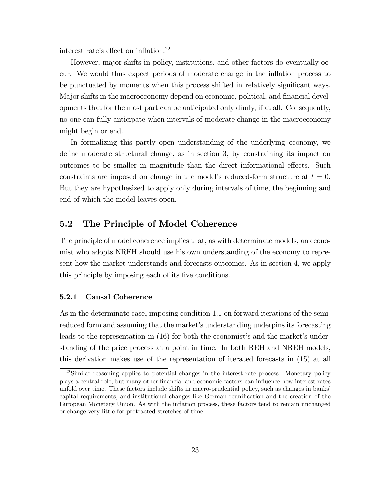interest rate's effect on inflation. $^{22}$ 

However, major shifts in policy, institutions, and other factors do eventually occur. We would thus expect periods of moderate change in the inflation process to be punctuated by moments when this process shifted in relatively significant ways. Major shifts in the macroeconomy depend on economic, political, and financial developments that for the most part can be anticipated only dimly, if at all. Consequently, no one can fully anticipate when intervals of moderate change in the macroeconomy might begin or end.

In formalizing this partly open understanding of the underlying economy, we define moderate structural change, as in section 3, by constraining its impact on outcomes to be smaller in magnitude than the direct informational effects. Such constraints are imposed on change in the model's reduced-form structure at  $t = 0$ . But they are hypothesized to apply only during intervals of time, the beginning and end of which the model leaves open.

## 5.2 The Principle of Model Coherence

The principle of model coherence implies that, as with determinate models, an economist who adopts NREH should use his own understanding of the economy to represent how the market understands and forecasts outcomes. As in section 4, we apply this principle by imposing each of its five conditions.

## 5.2.1 Causal Coherence

As in the determinate case, imposing condition 1.1 on forward iterations of the semireduced form and assuming that the market's understanding underpins its forecasting leads to the representation in (16) for both the economist's and the market's understanding of the price process at a point in time. In both REH and NREH models, this derivation makes use of the representation of iterated forecasts in (15) at all

<sup>&</sup>lt;sup>22</sup>Similar reasoning applies to potential changes in the interest-rate process. Monetary policy plays a central role, but many other financial and economic factors can influence how interest rates unfold over time. These factors include shifts in macro-prudential policy, such as changes in banks' capital requirements, and institutional changes like German reunification and the creation of the European Monetary Union. As with the inflation process, these factors tend to remain unchanged or change very little for protracted stretches of time.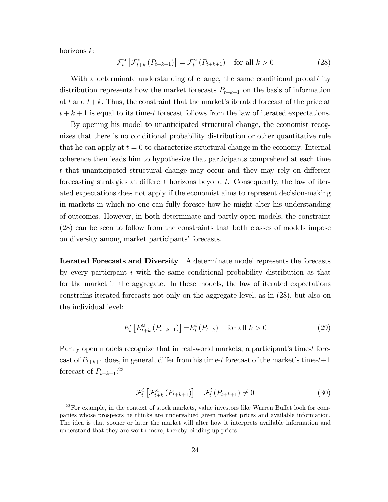horizons  $k$ :

$$
\mathcal{F}_{t}^{\mathcal{M}}\left[\mathcal{F}_{t+k}^{\mathcal{M}}\left(P_{t+k+1}\right)\right]=\mathcal{F}_{t}^{\mathcal{M}}\left(P_{t+k+1}\right) \quad \text{for all } k>0
$$
\n
$$
(28)
$$

With a determinate understanding of change, the same conditional probability distribution represents how the market forecasts  $P_{t+k+1}$  on the basis of information at t and  $t+k$ . Thus, the constraint that the market's iterated forecast of the price at  $t + k + 1$  is equal to its time-t forecast follows from the law of iterated expectations.

By opening his model to unanticipated structural change, the economist recognizes that there is no conditional probability distribution or other quantitative rule that he can apply at  $t = 0$  to characterize structural change in the economy. Internal coherence then leads him to hypothesize that participants comprehend at each time  $t$  that unanticipated structural change may occur and they may rely on different forecasting strategies at different horizons beyond  $t$ . Consequently, the law of iterated expectations does not apply if the economist aims to represent decision-making in markets in which no one can fully foresee how he might alter his understanding of outcomes. However, in both determinate and partly open models, the constraint (28) can be seen to follow from the constraints that both classes of models impose on diversity among market participants' forecasts.

Iterated Forecasts and Diversity A determinate model represents the forecasts by every participant  $i$  with the same conditional probability distribution as that for the market in the aggregate. In these models, the law of iterated expectations constrains iterated forecasts not only on the aggregate level, as in (28), but also on the individual level:

$$
E_t^i \left[ E_{t+k}^{\mathcal{M}} \left( P_{t+k+1} \right) \right] = E_t^i \left( P_{t+k} \right) \quad \text{for all } k > 0 \tag{29}
$$

Partly open models recognize that in real-world markets, a participant's time- $t$  forecast of  $P_{t+k+1}$  does, in general, differ from his time-t forecast of the market's time-t+1 forecast of  $P_{t+k+1}:^{23}$ 

$$
\mathcal{F}_{t}^{i}\left[\mathcal{F}_{t+k}^{\mathcal{M}}\left(P_{t+k+1}\right)\right]-\mathcal{F}_{t}^{i}\left(P_{t+k+1}\right)\neq0\tag{30}
$$

 $^{23}$ For example, in the context of stock markets, value investors like Warren Buffet look for companies whose prospects he thinks are undervalued given market prices and available information. The idea is that sooner or later the market will alter how it interprets available information and understand that they are worth more, thereby bidding up prices.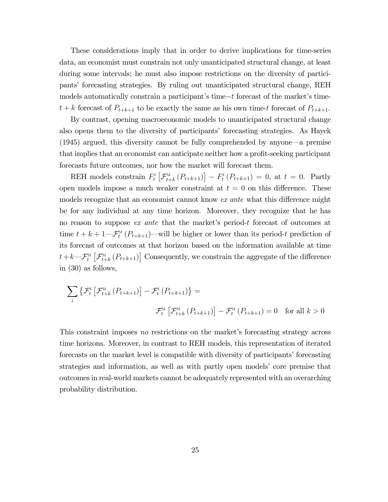These considerations imply that in order to derive implications for time-series data, an economist must constrain not only unanticipated structural change, at least during some intervals; he must also impose restrictions on the diversity of participants' forecasting strategies. By ruling out unanticipated structural change, REH models automatically constrain a participant's time- $t$  forecast of the market's time $t + k$  forecast of  $P_{t+k+1}$  to be exactly the same as his own time-t forecast of  $P_{t+k+1}$ .

By contrast, opening macroeconomic models to unanticipated structural change also opens them to the diversity of participants' forecasting strategies. As Hayek (1945) argued, this diversity cannot be fully comprehended by anyone–a premise that implies that an economist can anticipate neither how a profit-seeking participant forecasts future outcomes, nor how the market will forecast them.

REH models constrain  $F_t^i\left[\mathcal{F}_{t+k}^M\left(P_{t+k+1}\right)\right] - F_t^i\left(P_{t+k+1}\right) = 0$ , at  $t = 0$ . Partly open models impose a much weaker constraint at  $t = 0$  on this difference. These models recognize that an economist cannot know  $ex$  ante what this difference might be for any individual at any time horizon. Moreover, they recognize that he has no reason to suppose *ex ante* that the market's period-t forecast of outcomes at time  $t + k + 1$ — $\mathcal{F}_t^M(P_{t+k+1})$ —will be higher or lower than its period-t prediction of its forecast of outcomes at that horizon based on the information available at time  $t+k-\mathcal{F}^\textsc{m}_t\left[\mathcal{F}^\textsc{m}_{t+k}\left(P_{t+k+1}\right)\right]$  Consequently, we constrain the aggregate of the difference in (30) as follows,

$$
\sum_{i} \left\{ \mathcal{F}_{t}^{i} \left[ \mathcal{F}_{t+k}^{M} \left( P_{t+k+1} \right) \right] - \mathcal{F}_{t}^{i} \left( P_{t+k+1} \right) \right\} =
$$
  

$$
\mathcal{F}_{t}^{M} \left[ \mathcal{F}_{t+k}^{M} \left( P_{t+k+1} \right) \right] - \mathcal{F}_{t}^{M} \left( P_{t+k+1} \right) = 0 \text{ for all } k > 0
$$

This constraint imposes no restrictions on the market's forecasting strategy across time horizons. Moreover, in contrast to REH models, this representation of iterated forecasts on the market level is compatible with diversity of participants' forecasting strategies and information, as well as with partly open models' core premise that outcomes in real-world markets cannot be adequately represented with an overarching probability distribution.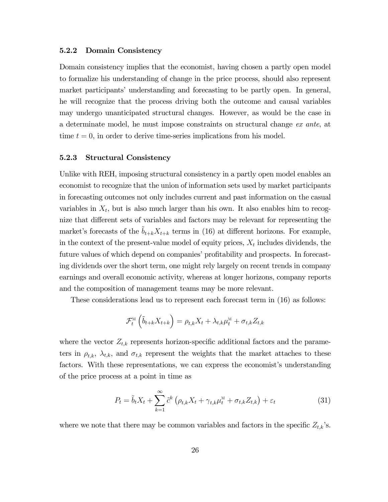#### 5.2.2 Domain Consistency

Domain consistency implies that the economist, having chosen a partly open model to formalize his understanding of change in the price process, should also represent market participants' understanding and forecasting to be partly open. In general, he will recognize that the process driving both the outcome and causal variables may undergo unanticipated structural changes. However, as would be the case in a determinate model, he must impose constraints on structural change ex ante, at time  $t = 0$ , in order to derive time-series implications from his model.

## 5.2.3 Structural Consistency

Unlike with REH, imposing structural consistency in a partly open model enables an economist to recognize that the union of information sets used by market participants in forecasting outcomes not only includes current and past information on the casual variables in  $X_t$ , but is also much larger than his own. It also enables him to recognize that different sets of variables and factors may be relevant for representing the market's forecasts of the  $\tilde{b}_{t+k}X_{t+k}$  terms in (16) at different horizons. For example, in the context of the present-value model of equity prices,  $X_t$  includes dividends, the future values of which depend on companies' profitability and prospects. In forecasting dividends over the short term, one might rely largely on recent trends in company earnings and overall economic activity, whereas at longer horizons, company reports and the composition of management teams may be more relevant.

These considerations lead us to represent each forecast term in (16) as follows:

$$
\mathcal{F}^{\scriptscriptstyle{{\rm M}}}_t\left(\widetilde{b}_{t+k}X_{t+k}\right)=\rho_{t,k}X_t+\lambda_{t,k}\mu_t^{\scriptscriptstyle{{\rm M}}}+\sigma_{t,k}Z_{t,k}
$$

where the vector  $Z_{t,k}$  represents horizon-specific additional factors and the parameters in  $\rho_{t,k}$ ,  $\lambda_{t,k}$ , and  $\sigma_{t,k}$  represent the weights that the market attaches to these factors. With these representations, we can express the economist's understanding of the price process at a point in time as

$$
P_t = \tilde{b}_t X_t + \sum_{k=1}^{\infty} \tilde{c}^k \left( \rho_{t,k} X_t + \gamma_{t,k} \mu_t^M + \sigma_{t,k} Z_{t,k} \right) + \varepsilon_t \tag{31}
$$

where we note that there may be common variables and factors in the specific  $Z_{t,k}$ 's.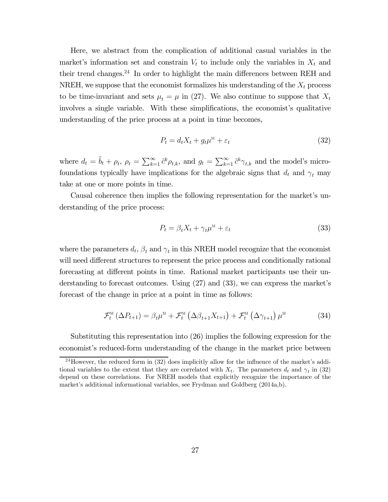Here, we abstract from the complication of additional casual variables in the market's information set and constrain  $V_t$  to include only the variables in  $X_t$  and their trend changes. $24$  In order to highlight the main differences between REH and NREH, we suppose that the economist formalizes his understanding of the  $X_t$  process to be time-invariant and sets  $\mu_t = \mu$  in (27). We also continue to suppose that  $X_t$ involves a single variable. With these simplifications, the economist's qualitative understanding of the price process at a point in time becomes,

$$
P_t = d_t X_t + g_t \mu^M + \varepsilon_t \tag{32}
$$

where  $d_t = \tilde{b}_t + \rho_t$ ,  $\rho_t = \sum_{k=1}^{\infty} \tilde{c}^k \rho_{t,k}$ , and  $g_t = \sum_{k=1}^{\infty} \tilde{c}^k \gamma_{t,k}$  and the model's microfoundations typically have implications for the algebraic signs that  $d_t$  and  $\gamma_t$  may take at one or more points in time.

Causal coherence then implies the following representation for the market's understanding of the price process:

$$
P_t = \beta_t X_t + \gamma_t \mu^M + \varepsilon_t \tag{33}
$$

where the parameters  $d_t$ ,  $\beta_t$  and  $\gamma_t$  in this NREH model recognize that the economist will need different structures to represent the price process and conditionally rational forecasting at different points in time. Rational market participants use their understanding to forecast outcomes. Using (27) and (33), we can express the market's forecast of the change in price at a point in time as follows:

$$
\mathcal{F}_{t}^{\scriptscriptstyle{\mathrm{M}}} \left( \Delta P_{t+1} \right) = \beta_{t} \mu^{\scriptscriptstyle{\mathrm{M}}} + \mathcal{F}_{t}^{\scriptscriptstyle{\mathrm{M}}} \left( \Delta \beta_{t+1} X_{t+1} \right) + \mathcal{F}_{t}^{\scriptscriptstyle{\mathrm{M}}} \left( \Delta \gamma_{t+1} \right) \mu^{\scriptscriptstyle{\mathrm{M}}} \tag{34}
$$

Substituting this representation into (26) implies the following expression for the economist's reduced-form understanding of the change in the market price between

<sup>&</sup>lt;sup>24</sup>However, the reduced form in (32) does implicitly allow for the influence of the market's additional variables to the extent that they are correlated with  $X_t$ . The parameters  $d_t$  and  $\gamma_t$  in (32) depend on these correlations. For NREH models that explicitly recognize the importance of the market's additional informational variables, see Frydman and Goldberg (2014a,b).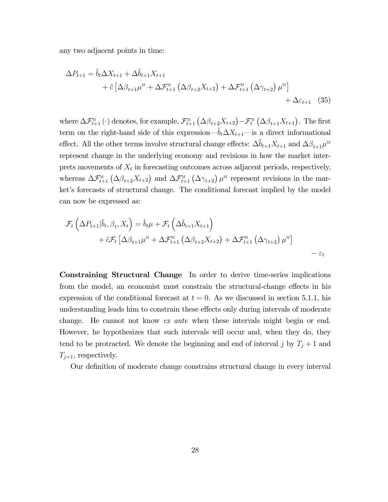any two adjacent points in time:

$$
\Delta P_{t+1} = \tilde{b}_t \Delta X_{t+1} + \Delta \tilde{b}_{t+1} X_{t+1} + \tilde{c} \left[ \Delta \beta_{t+1} \mu^M + \Delta \mathcal{F}_{t+1}^M \left( \Delta \beta_{t+2} X_{t+2} \right) + \Delta \mathcal{F}_{t+1}^M \left( \Delta \gamma_{t+2} \right) \mu^M \right] + \Delta \varepsilon_{t+1} \quad (35)
$$

where  $\Delta \mathcal{F}_{t+1}^{\mathbb{M}}(\cdot)$  denotes, for example,  $\mathcal{F}_{t+1}^{\mathbb{M}}(\Delta \beta_{t+2}X_{t+2}) - \mathcal{F}_{t}^{\mathbb{M}}(\Delta \beta_{t+1}X_{t+1})$ . The first term on the right-hand side of this expression— $\tilde{b}_t \Delta X_{t+1}$ —is a direct informational effect. All the other terms involve structural change effects:  $\Delta \tilde{b}_{t+1} X_{t+1}$  and  $\Delta \beta_{t+1} \mu^M$ represent change in the underlying economy and revisions in how the market interprets movements of  $X_t$  in forecasting outcomes across adjacent periods, respectively, whereas  $\Delta \mathcal{F}_{t+1}^{\text{M}}(\Delta \beta_{t+2} X_{t+2})$  and  $\Delta \mathcal{F}_{t+1}^{\text{M}}(\Delta \gamma_{t+2})$   $\mu^{\text{M}}$  represent revisions in the market's forecasts of structural change. The conditional forecast implied by the model can now be expressed as:

$$
\mathcal{F}_{t}\left(\Delta P_{t+1}|\tilde{b}_{t},\beta_{t},X_{t}\right)=\tilde{b}_{t}\mu+\mathcal{F}_{t}\left(\Delta\tilde{b}_{t+1}X_{t+1}\right) \n+\tilde{c}\mathcal{F}_{t}\left[\Delta\beta_{t+1}\mu^{M}+\Delta\mathcal{F}_{t+1}^{M}\left(\Delta\beta_{t+2}X_{t+2}\right)+\Delta\mathcal{F}_{t+1}^{M}\left(\Delta\gamma_{t+2}\right)\mu^{M}\right] \n-\varepsilon_{t}
$$

Constraining Structural Change In order to derive time-series implications from the model, an economist must constrain the structural-change effects in his expression of the conditional forecast at  $t = 0$ . As we discussed in section 5.1.1, his understanding leads him to constrain these effects only during intervals of moderate change. He cannot not know ex ante when these intervals might begin or end. However, he hypothesizes that such intervals will occur and, when they do, they tend to be protracted. We denote the beginning and end of interval j by  $T_j + 1$  and  $T_{i+1}$ , respectively.

Our definition of moderate change constrains structural change in every interval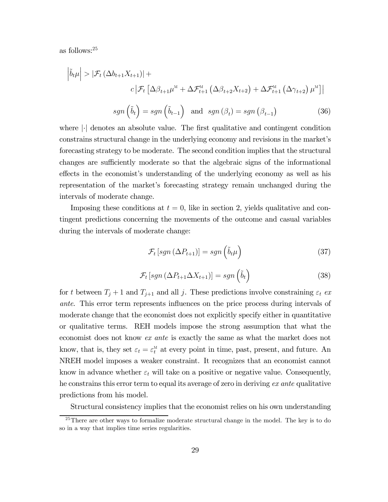as follows:25

$$
\left| \tilde{b}_{t} \mu \right| > \left| \mathcal{F}_{t} \left( \Delta b_{t+1} X_{t+1} \right) \right| +
$$
\n
$$
c \left| \mathcal{F}_{t} \left[ \Delta \beta_{t+1} \mu^{M} + \Delta \mathcal{F}_{t+1}^{M} \left( \Delta \beta_{t+2} X_{t+2} \right) + \Delta \mathcal{F}_{t+1}^{M} \left( \Delta \gamma_{t+2} \right) \mu^{M} \right] \right|
$$
\n
$$
sgn \left( \tilde{b}_{t} \right) = sgn \left( \tilde{b}_{t-1} \right) \quad \text{and} \quad sgn \left( \beta_{t} \right) = sgn \left( \beta_{t-1} \right) \tag{36}
$$

where 
$$
|\cdot|
$$
 denotes an absolute value. The first qualitative and contingent condition constrains structural change in the underlying economy and revisions in the market's forecasting strategy to be moderate. The second condition implies that the structural changes are sufficiently moderate so that the algebraic signs of the informational effects in the economist's understanding of the underlying economy as well as his representation of the market's forecasting strategy remain unchanged during the

intervals of moderate change.

Imposing these conditions at  $t = 0$ , like in section 2, yields qualitative and contingent predictions concerning the movements of the outcome and casual variables during the intervals of moderate change:

$$
\mathcal{F}_{t}\left[sgn\left(\Delta P_{t+1}\right)\right] = sgn\left(\tilde{b}_{t}\mu\right) \tag{37}
$$

$$
\mathcal{F}_{t}\left[sgn\left(\Delta P_{t+1}\Delta X_{t+1}\right)\right]=sgn\left(\tilde{b}_{t}\right)
$$
\n(38)

for t between  $T_j + 1$  and  $T_{j+1}$  and all j. These predictions involve constraining  $\varepsilon_t$  ex ante. This error term represents influences on the price process during intervals of moderate change that the economist does not explicitly specify either in quantitative or qualitative terms. REH models impose the strong assumption that what the economist does not know ex ante is exactly the same as what the market does not know, that is, they set  $\varepsilon_t = \varepsilon_t^{\text{M}}$  at every point in time, past, present, and future. An NREH model imposes a weaker constraint. It recognizes that an economist cannot know in advance whether  $\varepsilon_t$  will take on a positive or negative value. Consequently, he constrains this error term to equal its average of zero in deriving ex ante qualitative predictions from his model.

Structural consistency implies that the economist relies on his own understanding

 $25$ There are other ways to formalize moderate structural change in the model. The key is to do so in a way that implies time series regularities.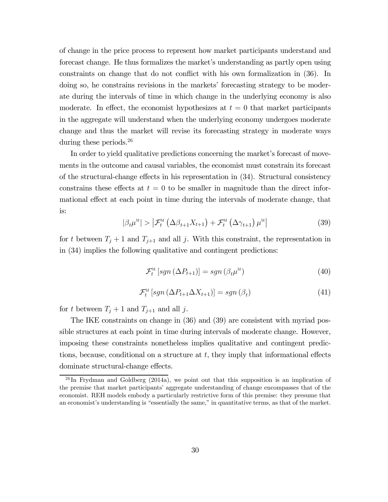of change in the price process to represent how market participants understand and forecast change. He thus formalizes the market's understanding as partly open using constraints on change that do not conflict with his own formalization in (36). In doing so, he constrains revisions in the markets' forecasting strategy to be moderate during the intervals of time in which change in the underlying economy is also moderate. In effect, the economist hypothesizes at  $t = 0$  that market participants in the aggregate will understand when the underlying economy undergoes moderate change and thus the market will revise its forecasting strategy in moderate ways during these periods.<sup>26</sup>

In order to yield qualitative predictions concerning the market's forecast of movements in the outcome and causal variables, the economist must constrain its forecast of the structural-change effects in his representation in  $(34)$ . Structural consistency constrains these effects at  $t = 0$  to be smaller in magnitude than the direct informational effect at each point in time during the intervals of moderate change, that is:

$$
|\beta_t \mu^{\mathbf{M}}| > \left| \mathcal{F}_t^{\mathbf{M}}\left( \Delta \beta_{t+1} X_{t+1} \right) + \mathcal{F}_t^{\mathbf{M}}\left( \Delta \gamma_{t+1} \right) \mu^{\mathbf{M}} \right| \tag{39}
$$

for t between  $T_j + 1$  and  $T_{j+1}$  and all j. With this constraint, the representation in in (34) implies the following qualitative and contingent predictions:

$$
\mathcal{F}_t^{\scriptscriptstyle{\mathrm{M}}}\left[sgn\left(\Delta P_{t+1}\right)\right] = sgn\left(\beta_t \mu^{\scriptscriptstyle{\mathrm{M}}}\right) \tag{40}
$$

$$
\mathcal{F}_t^{\mathcal{M}}\left[sgn\left(\Delta P_{t+1}\Delta X_{t+1}\right)\right] = sgn\left(\beta_t\right) \tag{41}
$$

for t between  $T_j + 1$  and  $T_{j+1}$  and all j.

The IKE constraints on change in (36) and (39) are consistent with myriad possible structures at each point in time during intervals of moderate change. However, imposing these constraints nonetheless implies qualitative and contingent predictions, because, conditional on a structure at  $t$ , they imply that informational effects dominate structural-change effects.

 $^{26}$ In Frydman and Goldberg (2014a), we point out that this supposition is an implication of the premise that market participants' aggregate understanding of change encompasses that of the economist. REH models embody a particularly restrictive form of this premise: they presume that an economist's understanding is "essentially the same," in quantitative terms, as that of the market.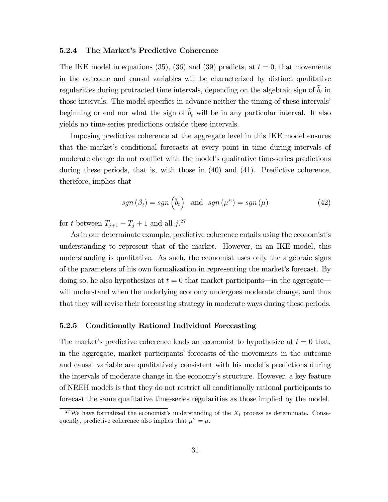#### 5.2.4 The Market's Predictive Coherence

The IKE model in equations (35), (36) and (39) predicts, at  $t = 0$ , that movements in the outcome and causal variables will be characterized by distinct qualitative regularities during protracted time intervals, depending on the algebraic sign of  $\tilde{b}_t$  in those intervals. The model specifies in advance neither the timing of these intervals' beginning or end nor what the sign of  $\tilde{b}_t$  will be in any particular interval. It also yields no time-series predictions outside these intervals.

Imposing predictive coherence at the aggregate level in this IKE model ensures that the market's conditional forecasts at every point in time during intervals of moderate change do not conflict with the model's qualitative time-series predictions during these periods, that is, with those in (40) and (41). Predictive coherence, therefore, implies that

$$
sgn(\beta_t) = sgn\left(\tilde{b}_t\right) \text{ and } sgn(\mu^M) = sgn(\mu) \tag{42}
$$

for t between  $T_{j+1} - T_j + 1$  and all  $j$ <sup>27</sup>

As in our determinate example, predictive coherence entails using the economist's understanding to represent that of the market. However, in an IKE model, this understanding is qualitative. As such, the economist uses only the algebraic signs of the parameters of his own formalization in representing the market's forecast. By doing so, he also hypothesizes at  $t = 0$  that market participants—in the aggregate will understand when the underlying economy undergoes moderate change, and thus that they will revise their forecasting strategy in moderate ways during these periods.

## 5.2.5 Conditionally Rational Individual Forecasting

The market's predictive coherence leads an economist to hypothesize at  $t = 0$  that, in the aggregate, market participants' forecasts of the movements in the outcome and causal variable are qualitatively consistent with his model's predictions during the intervals of moderate change in the economy's structure. However, a key feature of NREH models is that they do not restrict all conditionally rational participants to forecast the same qualitative time-series regularities as those implied by the model.

<sup>&</sup>lt;sup>27</sup>We have formalized the economist's understanding of the  $X_t$  process as determinate. Consequently, predictive coherence also implies that  $\mu^M = \mu$ .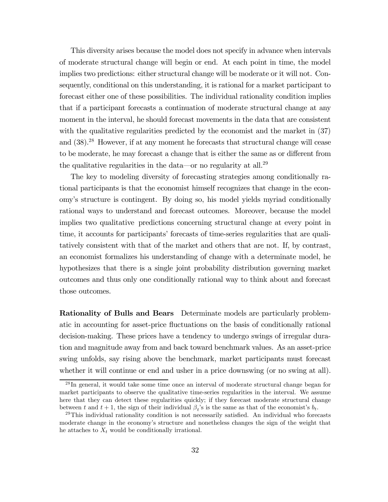This diversity arises because the model does not specify in advance when intervals of moderate structural change will begin or end. At each point in time, the model implies two predictions: either structural change will be moderate or it will not. Consequently, conditional on this understanding, it is rational for a market participant to forecast either one of these possibilities. The individual rationality condition implies that if a participant forecasts a continuation of moderate structural change at any moment in the interval, he should forecast movements in the data that are consistent with the qualitative regularities predicted by the economist and the market in  $(37)$ and (38).28 However, if at any moment he forecasts that structural change will cease to be moderate, he may forecast a change that is either the same as or different from the qualitative regularities in the data—or no regularity at all.<sup>29</sup>

The key to modeling diversity of forecasting strategies among conditionally rational participants is that the economist himself recognizes that change in the economy's structure is contingent. By doing so, his model yields myriad conditionally rational ways to understand and forecast outcomes. Moreover, because the model implies two qualitative predictions concerning structural change at every point in time, it accounts for participants' forecasts of time-series regularities that are qualitatively consistent with that of the market and others that are not. If, by contrast, an economist formalizes his understanding of change with a determinate model, he hypothesizes that there is a single joint probability distribution governing market outcomes and thus only one conditionally rational way to think about and forecast those outcomes.

Rationality of Bulls and Bears Determinate models are particularly problematic in accounting for asset-price fluctuations on the basis of conditionally rational decision-making. These prices have a tendency to undergo swings of irregular duration and magnitude away from and back toward benchmark values. As an asset-price swing unfolds, say rising above the benchmark, market participants must forecast whether it will continue or end and usher in a price downswing (or no swing at all).

<sup>&</sup>lt;sup>28</sup>In general, it would take some time once an interval of moderate structural change began for market participants to observe the qualitative time-series regularities in the interval. We assume here that they can detect these regularities quickly; if they forecast moderate structural change

between t and  $t + 1$ , the sign of their individual  $\beta_t$ 's is the same as that of the economist's  $b_t$ .<br><sup>29</sup>This individual rationality condition is not necessarily satisfied. An individual who forecasts moderate change in the economy's structure and nonetheless changes the sign of the weight that he attaches to  $X_t$  would be conditionally irrational.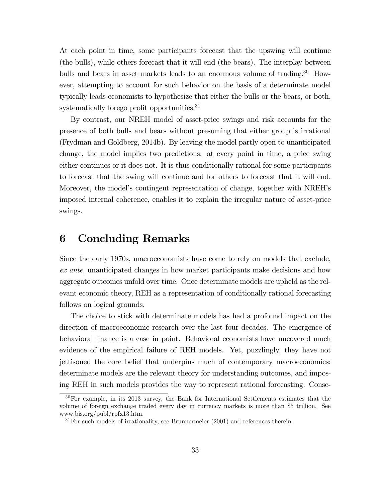At each point in time, some participants forecast that the upswing will continue (the bulls), while others forecast that it will end (the bears). The interplay between bulls and bears in asset markets leads to an enormous volume of trading.<sup>30</sup> However, attempting to account for such behavior on the basis of a determinate model typically leads economists to hypothesize that either the bulls or the bears, or both, systematically forego profit opportunities.<sup>31</sup>

By contrast, our NREH model of asset-price swings and risk accounts for the presence of both bulls and bears without presuming that either group is irrational (Frydman and Goldberg, 2014b). By leaving the model partly open to unanticipated change, the model implies two predictions: at every point in time, a price swing either continues or it does not. It is thus conditionally rational for some participants to forecast that the swing will continue and for others to forecast that it will end. Moreover, the model's contingent representation of change, together with NREH's imposed internal coherence, enables it to explain the irregular nature of asset-price swings.

# 6 Concluding Remarks

Since the early 1970s, macroeconomists have come to rely on models that exclude, ex ante, unanticipated changes in how market participants make decisions and how aggregate outcomes unfold over time. Once determinate models are upheld as the relevant economic theory, REH as a representation of conditionally rational forecasting follows on logical grounds.

The choice to stick with determinate models has had a profound impact on the direction of macroeconomic research over the last four decades. The emergence of behavioral finance is a case in point. Behavioral economists have uncovered much evidence of the empirical failure of REH models. Yet, puzzlingly, they have not jettisoned the core belief that underpins much of contemporary macroeconomics: determinate models are the relevant theory for understanding outcomes, and imposing REH in such models provides the way to represent rational forecasting. Conse-

 $30$ For example, in its 2013 survey, the Bank for International Settlements estimates that the volume of foreign exchange traded every day in currency markets is more than \$5 trillion. See www.bis.org/publ/rpfx13.htm.

 $31$  For such models of irrationality, see Brunnermeier (2001) and references therein.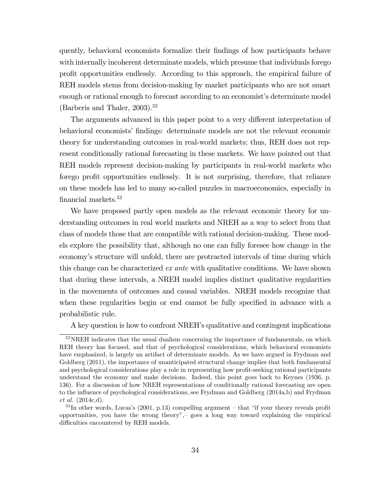quently, behavioral economists formalize their findings of how participants behave with internally incoherent determinate models, which presume that individuals forego profit opportunities endlessly. According to this approach, the empirical failure of REH models stems from decision-making by market participants who are not smart enough or rational enough to forecast according to an economist's determinate model (Barberis and Thaler,  $2003$ ).<sup>32</sup>

The arguments advanced in this paper point to a very different interpretation of behavioral economists' findings: determinate models are not the relevant economic theory for understanding outcomes in real-world markets; thus, REH does not represent conditionally rational forecasting in these markets. We have pointed out that REH models represent decision-making by participants in real-world markets who forego profit opportunities endlessly. It is not surprising, therefore, that reliance on these models has led to many so-called puzzles in macroeconomics, especially in financial markets.33

We have proposed partly open models as the relevant economic theory for understanding outcomes in real world markets and NREH as a way to select from that class of models those that are compatible with rational decision-making. These models explore the possibility that, although no one can fully foresee how change in the economy's structure will unfold, there are protracted intervals of time during which this change can be characterized ex ante with qualitative conditions. We have shown that during these intervals, a NREH model implies distinct qualitative regularities in the movements of outcomes and causal variables. NREH models recognize that when these regularities begin or end cannot be fully specified in advance with a probabilistic rule.

A key question is how to confront NREH's qualitative and contingent implications

 $32$ <sub>NREH</sub> indicates that the usual dualism concerning the importance of fundamentals, on which REH theory has focused, and that of psychological considerations, which behavioral economists have emphasized, is largely an artifact of determinate models. As we have argued in Frydman and Goldberg (2011), the importance of unanticipated structural change implies that both fundamental and psychological considerations play a role in representing how profit-seeking rational participants understand the economy and make decisions. Indeed, this point goes back to Keynes (1936, p. 136). For a discussion of how NREH representations of conditionally rational forecasting are open to the influence of psychological considerations, see Frydman and Goldberg (2014a,b) and Frydman et al. (2014c,d).

 $33$  In other words, Lucas's (2001, p.13) compelling argument – that "if your theory reveals profit opportunities, you have the wrong theory", $-$  goes a long way toward explaining the empirical difficulties encountered by REH models.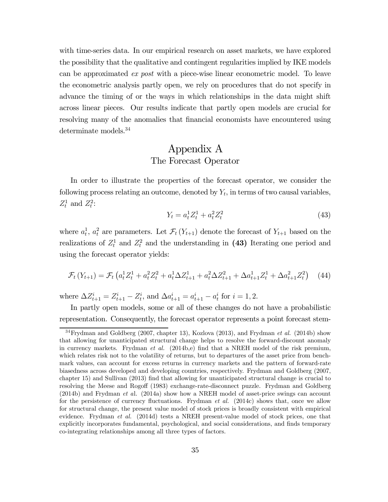with time-series data. In our empirical research on asset markets, we have explored the possibility that the qualitative and contingent regularities implied by IKE models can be approximated ex post with a piece-wise linear econometric model. To leave the econometric analysis partly open, we rely on procedures that do not specify in advance the timing of or the ways in which relationships in the data might shift across linear pieces. Our results indicate that partly open models are crucial for resolving many of the anomalies that financial economists have encountered using determinate models.34

## Appendix A The Forecast Operator

In order to illustrate the properties of the forecast operator, we consider the following process relating an outcome, denoted by  $Y_t$ , in terms of two causal variables,  $Z_t^1$  and  $Z_t^2$ :

$$
Y_t = a_t^1 Z_t^1 + a_t^2 Z_t^2 \tag{43}
$$

where  $a_t^1$ ,  $a_t^2$  are parameters. Let  $\mathcal{F}_t(Y_{t+1})$  denote the forecast of  $Y_{t+1}$  based on the realizations of  $Z_t^1$  and  $Z_t^2$  and the understanding in (43) Iterating one period and using the forecast operator yields:

$$
\mathcal{F}_t(Y_{t+1}) = \mathcal{F}_t \left( a_t^1 Z_t^1 + a_t^2 Z_t^2 + a_t^1 \Delta Z_{t+1}^1 + a_t^2 \Delta Z_{t+1}^2 + \Delta a_{t+1}^1 Z_t^1 + \Delta a_{t+1}^2 Z_t^2 \right) \tag{44}
$$

where  $\Delta Z_{t+1}^i = Z_{t+1}^i - Z_t^i$ , and  $\Delta a_{t+1}^i = a_{t+1}^i - a_t^i$  for  $i = 1, 2$ .

In partly open models, some or all of these changes do not have a probabilistic representation. Consequently, the forecast operator represents a point forecast stem-

 $34$  Frydman and Goldberg (2007, chapter 13), Kozlova (2013), and Frydman et al. (2014b) show that allowing for unanticipated structural change helps to resolve the forward-discount anomaly in currency markets. Frydman et al. (2014b,e) find that a NREH model of the risk premium, which relates risk not to the volatility of returns, but to departures of the asset price from benchmark values, can account for excess returns in currency markets and the pattern of forward-rate biasedness across developed and developing countries, respectively. Frydman and Goldberg (2007, chapter 15) and Sullivan (2013) find that allowing for unanticipated structural change is crucial to resolving the Meese and Rogoff (1983) exchange-rate-disconnect puzzle. Frydman and Goldberg (2014b) and Frydman et al. (2014a) show how a NREH model of asset-price swings can account for the persistence of currency fluctuations. Frydman *et al.*  $(2014c)$  shows that, once we allow for structural change, the present value model of stock prices is broadly consistent with empirical evidence. Frydman et al. (2014d) tests a NREH present-value model of stock prices, one that explicitly incorporates fundamental, psychological, and social considerations, and finds temporary co-integrating relationships among all three types of factors.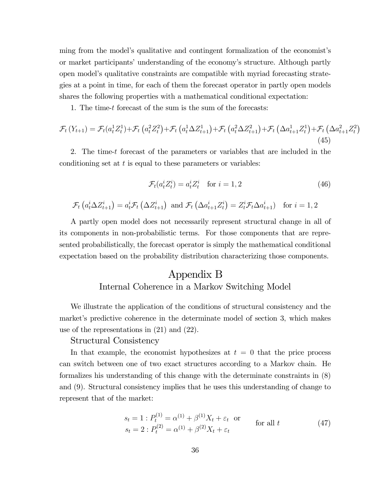ming from the model's qualitative and contingent formalization of the economist's or market participants' understanding of the economy's structure. Although partly open model's qualitative constraints are compatible with myriad forecasting strategies at a point in time, for each of them the forecast operator in partly open models shares the following properties with a mathematical conditional expectation:

1. The time- $t$  forecast of the sum is the sum of the forecasts:

$$
\mathcal{F}_{t}\left(Y_{t+1}\right) = \mathcal{F}_{t}\left(a_{t}^{1}Z_{t}^{1}\right) + \mathcal{F}_{t}\left(a_{t}^{2}Z_{t}^{2}\right) + \mathcal{F}_{t}\left(a_{t}^{1}\Delta Z_{t+1}^{1}\right) + \mathcal{F}_{t}\left(a_{t}^{2}\Delta Z_{t+1}^{2}\right) + \mathcal{F}_{t}\left(\Delta a_{t+1}^{1}Z_{t}^{1}\right) + \mathcal{F}_{t}\left(\Delta a_{t+1}^{2}Z_{t}^{2}\right)
$$
\n(45)

2. The time-t forecast of the parameters or variables that are included in the conditioning set at  $t$  is equal to these parameters or variables:

$$
\mathcal{F}_t(a_t^i Z_t^i) = a_t^i Z_t^i \quad \text{for } i = 1, 2
$$
\n
$$
(46)
$$

$$
\mathcal{F}_t\left(a_t^i \Delta Z_{t+1}^i\right) = a_t^i \mathcal{F}_t\left(\Delta Z_{t+1}^i\right) \text{ and } \mathcal{F}_t\left(\Delta a_{t+1}^i Z_t^i\right) = Z_t^i \mathcal{F}_t \Delta a_{t+1}^i \text{ for } i = 1, 2
$$

A partly open model does not necessarily represent structural change in all of its components in non-probabilistic terms. For those components that are represented probabilistically, the forecast operator is simply the mathematical conditional expectation based on the probability distribution characterizing those components.

# Appendix B Internal Coherence in a Markov Switching Model

We illustrate the application of the conditions of structural consistency and the market's predictive coherence in the determinate model of section 3, which makes use of the representations in (21) and (22).

## Structural Consistency

In that example, the economist hypothesizes at  $t = 0$  that the price process can switch between one of two exact structures according to a Markov chain. He formalizes his understanding of this change with the determinate constraints in (8) and (9). Structural consistency implies that he uses this understanding of change to represent that of the market:

$$
s_t = 1 : P_t^{(1)} = \alpha^{(1)} + \beta^{(1)} X_t + \varepsilon_t \quad \text{or} \quad s_t = 2 : P_t^{(2)} = \alpha^{(1)} + \beta^{(2)} X_t + \varepsilon_t \quad \text{for all } t \tag{47}
$$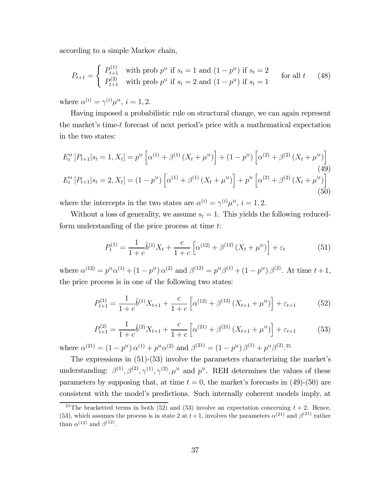according to a simple Markov chain,

$$
P_{t+1} = \begin{cases} P_{t+1}^{(1)} & \text{with prob } p^{\text{M}} \text{ if } s_t = 1 \text{ and } (1 - p^{\text{M}}) \text{ if } s_t = 2\\ P_{t+1}^{(2)} & \text{with prob } p^{\text{M}} \text{ if } s_t = 2 \text{ and } (1 - p^{\text{M}}) \text{ if } s_t = 1 \end{cases} \text{ for all } t \qquad (48)
$$

where  $\alpha^{(i)} = \gamma^{(i)} \mu^{\scriptscriptstyle M}, i = 1, 2$ .

Having imposed a probabilistic rule on structural change, we can again represent the market's time-t forecast of next period's price with a mathematical expectation in the two states:

$$
E_t^{\scriptscriptstyle{\mathrm{M}}}\left[P_{t+1}|s_t=1, X_t\right] = p^{\scriptscriptstyle{\mathrm{M}}}\left[\alpha^{(1)} + \beta^{(1)}\left(X_t + \mu^{\scriptscriptstyle{\mathrm{M}}}\right)\right] + (1 - p^{\scriptscriptstyle{\mathrm{M}}})\left[\alpha^{(2)} + \beta^{(2)}\left(X_t + \mu^{\scriptscriptstyle{\mathrm{M}}}\right)\right] \tag{49}
$$
\n
$$
E_t^{\scriptscriptstyle{\mathrm{M}}}\left[P_{t+1}|s_t=2, X_t\right] = (1 - p^{\scriptscriptstyle{\mathrm{M}}})\left[\alpha^{(1)} + \beta^{(1)}\left(X_t + \mu^{\scriptscriptstyle{\mathrm{M}}}\right)\right] + p^{\scriptscriptstyle{\mathrm{M}}}\left[\alpha^{(2)} + \beta^{(2)}\left(X_t + \mu^{\scriptscriptstyle{\mathrm{M}}}\right)\right] \tag{50}
$$

where the intercepts in the two states are  $\alpha^{(i)} = \gamma^{(i)} \mu^M$ ,  $i = 1, 2$ .

Without a loss of generality, we assume  $s_t = 1$ . This yields the following reducedform understanding of the price process at time  $t$ :

$$
P_t^{(1)} = \frac{1}{1+c} \tilde{b}^{(1)} X_t + \frac{c}{1+c} \left[ \alpha^{(12)} + \beta^{(12)} \left( X_t + \mu^{\mathbf{M}} \right) \right] + \varepsilon_t \tag{51}
$$

where  $\alpha^{(12)} = p^{\scriptscriptstyle{M}} \alpha^{(1)} + (1 - p^{\scriptscriptstyle{M}}) \alpha^{(2)}$  and  $\beta^{(12)} = p^{\scriptscriptstyle{M}} \beta^{(1)} + (1 - p^{\scriptscriptstyle{M}}) \beta^{(2)}$ . At time  $t + 1$ , the price process is in one of the following two states:

$$
P_{t+1}^{(1)} = \frac{1}{1+c} \tilde{b}^{(1)} X_{t+1} + \frac{c}{1+c} \left[ \alpha^{(12)} + \beta^{(12)} \left( X_{t+1} + \mu^M \right) \right] + \varepsilon_{t+1} \tag{52}
$$

$$
P_{t+1}^{(2)} = \frac{1}{1+c} \tilde{b}^{(2)} X_{t+1} + \frac{c}{1+c} \left[ \alpha^{(21)} + \beta^{(21)} \left( X_{t+1} + \mu^{\mathcal{M}} \right) \right] + \varepsilon_{t+1} \tag{53}
$$

where  $\alpha^{(21)} = (1 - p^{\text{M}}) \alpha^{(1)} + p^{\text{M}} \alpha^{(2)}$  and  $\beta^{(21)} = (1 - p^{\text{M}}) \beta^{(1)} + p^{\text{M}} \beta^{(2)}$ .<sup>35</sup>

The expressions in (51)-(53) involve the parameters characterizing the market's understanding:  $\beta^{(1)}, \beta^{(2)}, \gamma^{(1)}, \gamma^{(2)}, \mu^M$  and  $p^M$ . REH determines the values of these parameters by supposing that, at time  $t = 0$ , the market's forecasts in (49)-(50) are consistent with the model's predictions. Such internally coherent models imply, at

<sup>&</sup>lt;sup>35</sup>The bracketted terms in both (52) and (53) involve an expectation concerning  $t + 2$ . Hence, (53), which assumes the process is in state 2 at  $t+1$ , involves the parameters  $\alpha^{(21)}$  and  $\beta^{(21)}$  rather than  $\alpha^{(12)}$  and  $\beta^{(12)}$ .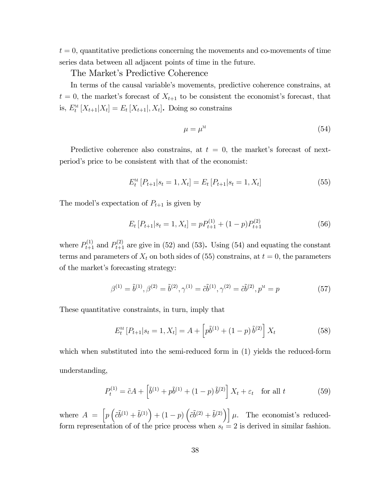$t = 0$ , quantitative predictions concerning the movements and co-movements of time series data between all adjacent points of time in the future.

The Market's Predictive Coherence

In terms of the causal variable's movements, predictive coherence constrains, at  $t = 0$ , the market's forecast of  $X_{t+1}$  to be consistent the economist's forecast, that is,  $E_t^{\text{M}}[X_{t+1}|X_t] = E_t[X_{t+1}|, X_t]$ . Doing so constrains

$$
\mu = \mu^{\mathcal{M}} \tag{54}
$$

Predictive coherence also constrains, at  $t = 0$ , the market's forecast of nextperiod's price to be consistent with that of the economist:

$$
E_t^{\mathcal{M}}\left[P_{t+1}|s_t=1, X_t\right] = E_t\left[P_{t+1}|s_t=1, X_t\right] \tag{55}
$$

The model's expectation of  $P_{t+1}$  is given by

$$
E_t[P_{t+1}|s_t = 1, X_t] = pP_{t+1}^{(1)} + (1 - p)P_{t+1}^{(2)}
$$
\n(56)

where  $P_{t+1}^{(1)}$  and  $P_{t+1}^{(2)}$  are give in (52) and (53). Using (54) and equating the constant terms and parameters of  $X_t$  on both sides of (55) constrains, at  $t = 0$ , the parameters of the market's forecasting strategy:

$$
\beta^{(1)} = \tilde{b}^{(1)}, \beta^{(2)} = \tilde{b}^{(2)}, \gamma^{(1)} = \tilde{c}\tilde{b}^{(1)}, \gamma^{(2)} = \tilde{c}\tilde{b}^{(2)}, p^M = p \tag{57}
$$

These quantitative constraints, in turn, imply that

$$
E_t^{\scriptscriptstyle{\mathrm{M}}}\left[P_{t+1}|s_t=1, X_t\right] = A + \left[p\tilde{b}^{(1)} + (1-p)\tilde{b}^{(2)}\right]X_t \tag{58}
$$

which when substituted into the semi-reduced form in  $(1)$  yields the reduced-form understanding,

$$
P_t^{(1)} = \tilde{c}A + \left[\tilde{b}^{(1)} + p\tilde{b}^{(1)} + (1-p)\tilde{b}^{(2)}\right]X_t + \varepsilon_t \quad \text{for all } t \tag{59}
$$

where  $A = \left[ p \left( \tilde{c} \tilde{b}^{(1)} + \tilde{b}^{(1)} \right) + (1 - p) \left( \tilde{c} \tilde{b}^{(2)} + \tilde{b}^{(2)} \right) \right] \mu$ . The economist's reducedform representation of of the price process when  $s_t = 2$  is derived in similar fashion.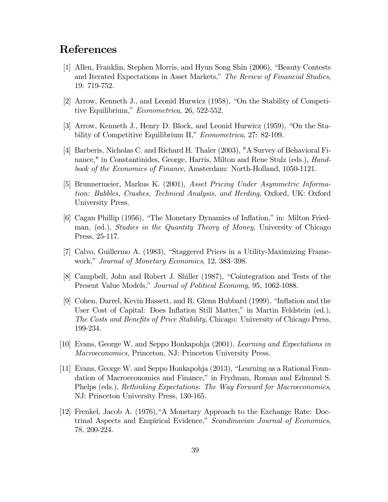# References

- [1] Allen, Franklin, Stephen Morris, and Hyun Song Shin (2006), "Beauty Contests and Iterated Expectations in Asset Markets," The Review of Financial Studies, 19: 719-752.
- [2] Arrow, Kenneth J., and Leonid Hurwicz (1958), "On the Stability of Competitive Equilibrium," Econometrica, 26, 522-552.
- [3] Arrow, Kenneth J., Henry D. Block, and Leonid Hurwicz (1959), "On the Stability of Competitive Equilibrium II," *Econometrica*, 27: 82-109.
- [4] Barberis, Nicholas C. and Richard H. Thaler (2003), "A Survey of Behavioral Finance," in Constantinides, George, Harris, Milton and Rene Stulz (eds.), Handbook of the Economics of Finance, Amsterdam: North-Holland, 1050-1121.
- [5] Brunnermeier, Markus K. (2001), Asset Pricing Under Asymmetric Information: Bubbles, Crashes, Technical Analysis, and Herding, Oxford, UK: Oxford University Press.
- [6] Cagan Phillip (1956), "The Monetary Dynamics of Inflation," in: Milton Friedman, (ed.), Studies in the Quantity Theory of Money, University of Chicago Press, 25-117.
- [7] Calvo, Guillermo A. (1983), "Staggered Prices in a Utility-Maximizing Framework," Journal of Monetary Economics, 12, 383—398.
- [8] Campbell, John and Robert J. Shiller (1987), "Cointegration and Tests of the Present Value Models," Journal of Political Economy, 95, 1062-1088.
- [9] Cohen, Darrel, Kevin Hassett, and R. Glenn Hubbard (1999), "Inflation and the User Cost of Capital: Does Inflation Still Matter," in Martin Feldstein (ed.), The Costs and Benefits of Price Stability, Chicago: University of Chicago Press, 199-234.
- [10] Evans, George W. and Seppo Honkapohja (2001), Learning and Expectations in Macroeconomics, Princeton, NJ: Princeton University Press.
- [11] Evans, George W. and Seppo Honkapohja (2013), "Learning as a Rational Foundation of Macroeconomics and Finance," in Frydman, Roman and Edmund S. Phelps (eds.), Rethinking Expectations: The Way Forward for Macroeconomics, NJ: Princeton University Press, 130-165.
- [12] Frenkel, Jacob A. (1976),"A Monetary Approach to the Exchange Rate: Doctrinal Aspects and Empirical Evidence," Scandinavian Journal of Economics, 78, 200-224.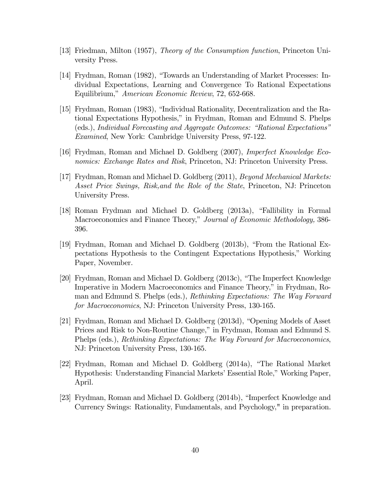- [13] Friedman, Milton (1957), Theory of the Consumption function, Princeton University Press.
- [14] Frydman, Roman (1982), "Towards an Understanding of Market Processes: Individual Expectations, Learning and Convergence To Rational Expectations Equilibrium," American Economic Review, 72, 652-668.
- [15] Frydman, Roman (1983), "Individual Rationality, Decentralization and the Rational Expectations Hypothesis," in Frydman, Roman and Edmund S. Phelps (eds.), Individual Forecasting and Aggregate Outcomes: "Rational Expectations" Examined, New York: Cambridge University Press, 97-122.
- [16] Frydman, Roman and Michael D. Goldberg (2007), Imperfect Knowledge Economics: Exchange Rates and Risk, Princeton, NJ: Princeton University Press.
- [17] Frydman, Roman and Michael D. Goldberg (2011), Beyond Mechanical Markets: Asset Price Swings, Risk,and the Role of the State, Princeton, NJ: Princeton University Press.
- [18] Roman Frydman and Michael D. Goldberg (2013a), "Fallibility in Formal Macroeconomics and Finance Theory," Journal of Economic Methodology, 386- 396.
- [19] Frydman, Roman and Michael D. Goldberg (2013b), "From the Rational Expectations Hypothesis to the Contingent Expectations Hypothesis," Working Paper, November.
- [20] Frydman, Roman and Michael D. Goldberg (2013c), "The Imperfect Knowledge Imperative in Modern Macroeconomics and Finance Theory," in Frydman, Roman and Edmund S. Phelps (eds.), Rethinking Expectations: The Way Forward for Macroeconomics, NJ: Princeton University Press, 130-165.
- [21] Frydman, Roman and Michael D. Goldberg (2013d), "Opening Models of Asset Prices and Risk to Non-Routine Change," in Frydman, Roman and Edmund S. Phelps (eds.), Rethinking Expectations: The Way Forward for Macroeconomics, NJ: Princeton University Press, 130-165.
- [22] Frydman, Roman and Michael D. Goldberg (2014a), "The Rational Market Hypothesis: Understanding Financial Markets' Essential Role," Working Paper, April.
- [23] Frydman, Roman and Michael D. Goldberg (2014b), "Imperfect Knowledge and Currency Swings: Rationality, Fundamentals, and Psychology," in preparation.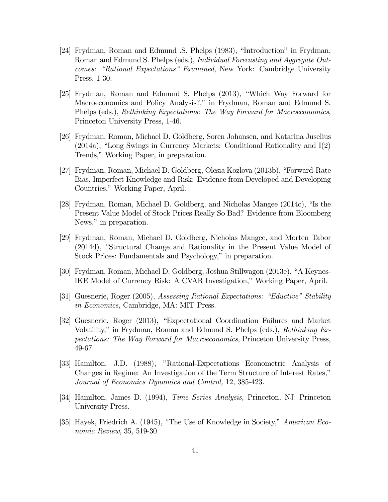- [24] Frydman, Roman and Edmund .S. Phelps (1983), "Introduction" in Frydman, Roman and Edmund S. Phelps (eds.), Individual Forecasting and Aggregate Outcomes: "Rational Expectations" Examined, New York: Cambridge University Press, 1-30.
- [25] Frydman, Roman and Edmund S. Phelps (2013), "Which Way Forward for Macroeconomics and Policy Analysis?," in Frydman, Roman and Edmund S. Phelps (eds.), Rethinking Expectations: The Way Forward for Macroeconomics, Princeton University Press, 1-46.
- [26] Frydman, Roman, Michael D. Goldberg, Soren Johansen, and Katarina Juselius (2014a), "Long Swings in Currency Markets: Conditional Rationality and I(2) Trends," Working Paper, in preparation.
- [27] Frydman, Roman, Michael D. Goldberg, Olesia Kozlova (2013b), "Forward-Rate Bias, Imperfect Knowledge and Risk: Evidence from Developed and Developing Countries," Working Paper, April.
- [28] Frydman, Roman, Michael D. Goldberg, and Nicholas Mangee (2014c), "Is the Present Value Model of Stock Prices Really So Bad? Evidence from Bloomberg News," in preparation.
- [29] Frydman, Roman, Michael D. Goldberg, Nicholas Mangee, and Morten Tabor (2014d), "Structural Change and Rationality in the Present Value Model of Stock Prices: Fundamentals and Psychology," in preparation.
- [30] Frydman, Roman, Michael D. Goldberg, Joshua Stillwagon (2013e), "A Keynes-IKE Model of Currency Risk: A CVAR Investigation," Working Paper, April.
- [31] Guesnerie, Roger (2005), Assessing Rational Expectations: "Eductive" Stability in Economics, Cambridge, MA: MIT Press.
- [32] Guesnerie, Roger (2013), "Expectational Coordination Failures and Market Volatility," in Frydman, Roman and Edmund S. Phelps (eds.), Rethinking Expectations: The Way Forward for Macroeconomics, Princeton University Press, 49-67.
- [33] Hamilton, J.D. (1988), "Rational-Expectations Econometric Analysis of Changes in Regime: An Investigation of the Term Structure of Interest Rates," Journal of Economics Dynamics and Control, 12, 385-423.
- [34] Hamilton, James D. (1994), Time Series Analysis, Princeton, NJ: Princeton University Press.
- [35] Hayek, Friedrich A. (1945), "The Use of Knowledge in Society," American Economic Review, 35, 519-30.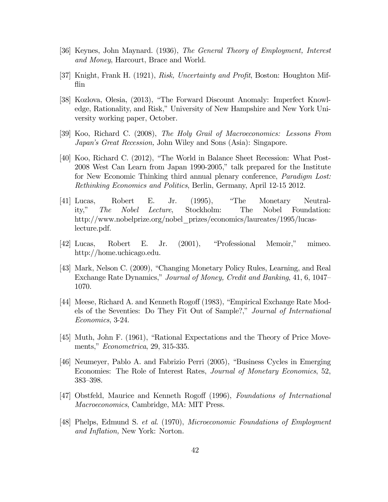- [36] Keynes, John Maynard. (1936), The General Theory of Employment, Interest and Money, Harcourt, Brace and World.
- [37] Knight, Frank H. (1921), Risk, Uncertainty and Profit, Boston: Houghton Mifflin
- [38] Kozlova, Olesia, (2013), "The Forward Discount Anomaly: Imperfect Knowledge, Rationality, and Risk," University of New Hampshire and New York University working paper, October.
- [39] Koo, Richard C. (2008), The Holy Grail of Macroeconomics: Lessons From Japan's Great Recession, John Wiley and Sons (Asia): Singapore.
- [40] Koo, Richard C. (2012), "The World in Balance Sheet Recession: What Post-2008 West Can Learn from Japan 1990-2005," talk prepared for the Institute for New Economic Thinking third annual plenary conference, Paradigm Lost: Rethinking Economics and Politics, Berlin, Germany, April 12-15 2012.
- [41] Lucas, Robert E. Jr. (1995), "The Monetary Neutrality," The Nobel Lecture, Stockholm: The Nobel Foundation: http://www.nobelprize.org/nobel\_prizes/economics/laureates/1995/lucaslecture.pdf.
- [42] Lucas, Robert E. Jr. (2001), "Professional Memoir," mimeo. http://home.uchicago.edu.
- [43] Mark, Nelson C. (2009), "Changing Monetary Policy Rules, Learning, and Real Exchange Rate Dynamics," Journal of Money, Credit and Banking, 41, 6, 1047— 1070.
- [44] Meese, Richard A. and Kenneth Rogoff (1983), "Empirical Exchange Rate Models of the Seventies: Do They Fit Out of Sample?," Journal of International Economics, 3-24.
- [45] Muth, John F. (1961), "Rational Expectations and the Theory of Price Movements," Econometrica, 29, 315-335.
- [46] Neumeyer, Pablo A. and Fabrizio Perri (2005), "Business Cycles in Emerging Economies: The Role of Interest Rates, Journal of Monetary Economics, 52, 383—398.
- [47] Obstfeld, Maurice and Kenneth Rogoff (1996), Foundations of International Macroeconomics, Cambridge, MA: MIT Press.
- [48] Phelps, Edmund S. et al. (1970), Microeconomic Foundations of Employment and Inflation, New York: Norton.